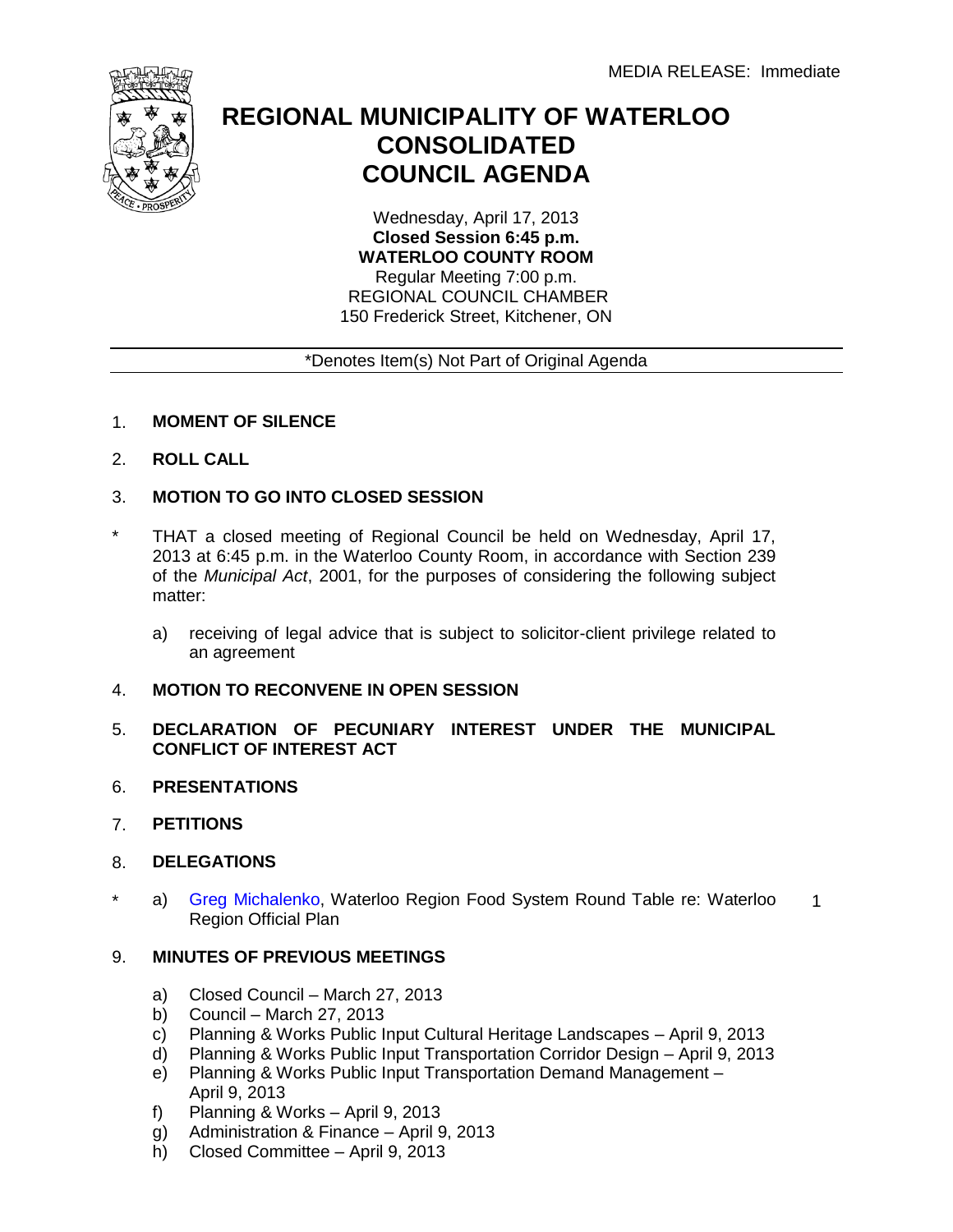

## **REGIONAL MUNICIPALITY OF WATERLOO CONSOLIDATED COUNCIL AGENDA**

Wednesday, April 17, 2013 **Closed Session 6:45 p.m. WATERLOO COUNTY ROOM** Regular Meeting 7:00 p.m.

 REGIONAL COUNCIL CHAMBER 150 Frederick Street, Kitchener, ON

## \*Denotes Item(s) Not Part of Original Agenda

- 1. **MOMENT OF SILENCE**
- 2. **ROLL CALL**
- 3. **MOTION TO GO INTO CLOSED SESSION**
- \* THAT a closed meeting of Regional Council be held on Wednesday, April 17, 2013 at 6:45 p.m. in the Waterloo County Room, in accordance with Section 239 of the *Municipal Act*, 2001, for the purposes of considering the following subject matter:
	- a) receiving of legal advice that is subject to solicitor-client privilege related to an agreement
- 4. **MOTION TO RECONVENE IN OPEN SESSION**
- 5. **DECLARATION OF PECUNIARY INTEREST UNDER THE MUNICIPAL CONFLICT OF INTEREST ACT**
- 6. **PRESENTATIONS**
- 7. **PETITIONS**
- 8. **DELEGATIONS**
- \* a) [Greg Michalenko, W](#page-3-0)aterloo Region Food System Round Table re: Waterloo Region Official Plan 1

## 9. **MINUTES OF PREVIOUS MEETINGS**

- a) Closed Council March 27, 2013
- b) Council March 27, 2013
- c) Planning & Works Public Input Cultural Heritage Landscapes April 9, 2013
- d) Planning & Works Public Input Transportation Corridor Design April 9, 2013
- e) Planning & Works Public Input Transportation Demand Management April 9, 2013
- f) Planning & Works April 9, 2013
- g) Administration & Finance April 9, 2013
- h) Closed Committee April 9, 2013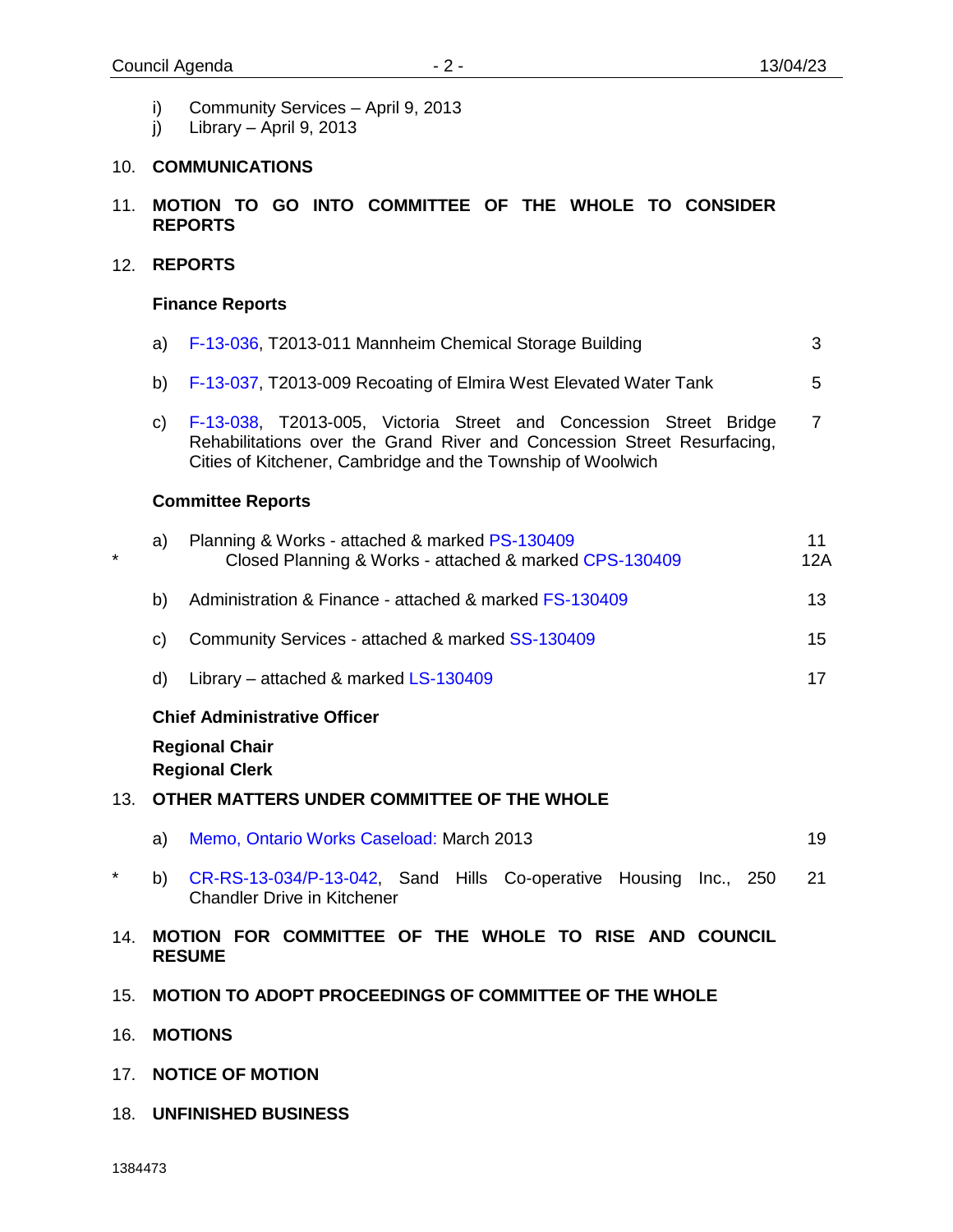- i) Community Services April 9, 2013
- j) Library April 9, 2013

## 10. **COMMUNICATIONS**

11. **MOTION TO GO INTO COMMITTEE OF THE WHOLE TO CONSIDER REPORTS**

#### 12. **REPORTS**

#### **Finance Reports**

a) [F-13-036,](#page-4-0) T2013-011 Mannheim Chemical Storage Building b) [F-13-037, T20](#page-6-0)13-009 Recoating of Elmira West Elevated Water Tank c) [F-13-038,](#page-8-0) T2013-005, Victoria Street and Concession Street Bridge Rehabilitations over the Grand River and Concession Street Resurfacing, Cities of Kitchener, Cambridge and the Township of Woolwich 3 5 7

## **Committee Reports**

| $\star$ | Planning & Works - attached & marked PS-130409<br>a)<br>Closed Planning & Works - attached & marked CPS-130409 |                                                                                                           |    |  |  |
|---------|----------------------------------------------------------------------------------------------------------------|-----------------------------------------------------------------------------------------------------------|----|--|--|
|         | b)                                                                                                             | Administration & Finance - attached & marked FS-130409                                                    | 13 |  |  |
|         | C)                                                                                                             | Community Services - attached & marked SS-130409                                                          | 15 |  |  |
|         | d)                                                                                                             | Library – attached & marked LS-130409                                                                     | 17 |  |  |
|         |                                                                                                                | <b>Chief Administrative Officer</b><br><b>Regional Chair</b><br><b>Regional Clerk</b>                     |    |  |  |
| 13.     |                                                                                                                | OTHER MATTERS UNDER COMMITTEE OF THE WHOLE                                                                |    |  |  |
|         | a)                                                                                                             | Memo, Ontario Works Caseload: March 2013                                                                  | 19 |  |  |
| *       | b)                                                                                                             | CR-RS-13-034/P-13-042, Sand Hills Co-operative Housing<br>Inc., 250<br><b>Chandler Drive in Kitchener</b> | 21 |  |  |
| 14.     |                                                                                                                | FOR COMMITTEE OF THE WHOLE TO RISE AND COUNCIL<br><b>MOTION</b><br><b>RESUME</b>                          |    |  |  |

- 15. **MOTION TO ADOPT PROCEEDINGS OF COMMITTEE OF THE WHOLE**
- 16. **MOTIONS**
- 17. **NOTICE OF MOTION**
- 18. **UNFINISHED BUSINESS**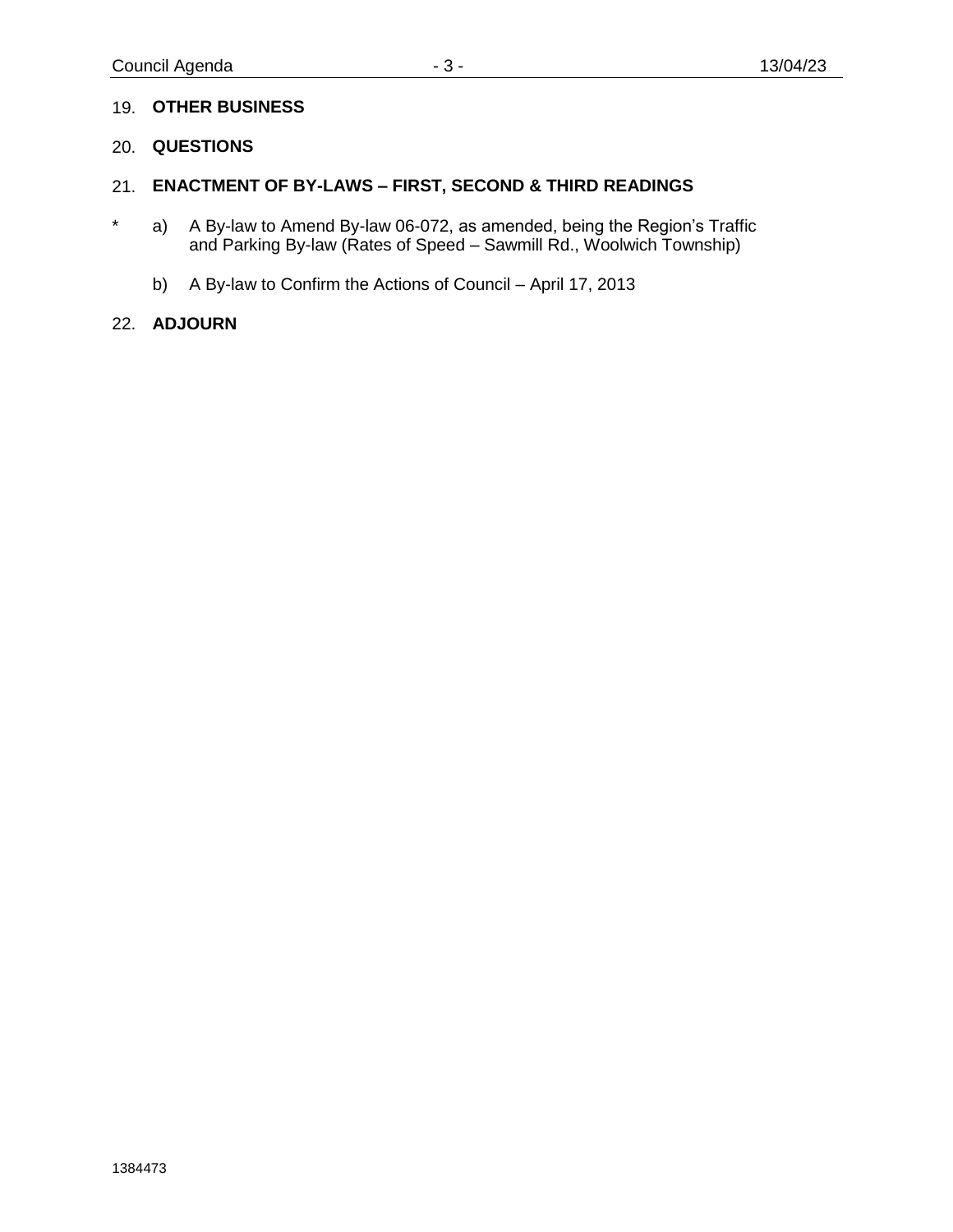## 19. **OTHER BUSINESS**

#### 20. **QUESTIONS**

#### 21. **ENACTMENT OF BY-LAWS – FIRST, SECOND & THIRD READINGS**

- \* a) A By-law to Amend By-law 06-072, as amended, being the Region's Traffic and Parking By-law (Rates of Speed – Sawmill Rd., Woolwich Township)
	- b) A By-law to Confirm the Actions of Council April 17, 2013

#### 22. **ADJOURN**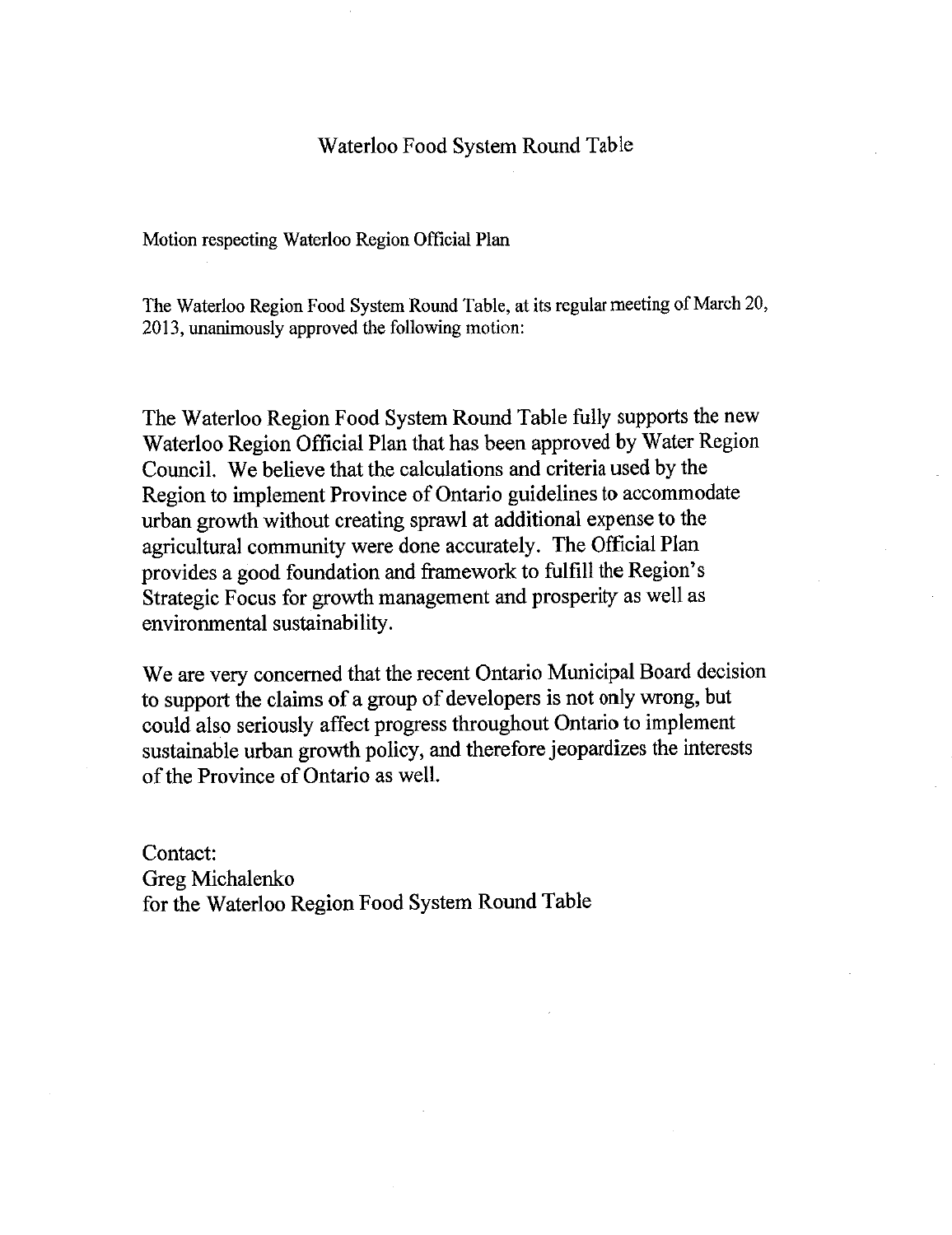## Waterloo Food System Round Table

Motion respecting Waterloo Region Official Plan

The Waterloo Region Food System Round Table, at its regular meeting of March 20, 2013, unanimously approved the following motion:

The Waterloo Region Food System Round Table fully supports the new Waterloo Region Official Plan that has been approved by Water Region Council. We believe that the calculations and criteria used by the Region to implement Province of Ontario guidelines to accommodate urban growth without creating sprawl at additional expense to the agricultural community were done accurately. The Official Plan provides a good foundation and framework to fulfill the Region's Strategic Focus for growth management and prosperity as well as environmental sustainability.

We are very concerned that the recent Ontario Municipal Board decision to support the claims of a group of developers is not only wrong, but could also seriously affect progress throughout Ontario to implement sustainable urban growth policy, and therefore jeopardizes the interests of the Province of Ontario as well.

Contact: Greg Michalenko for the Waterloo Region Food System Round Table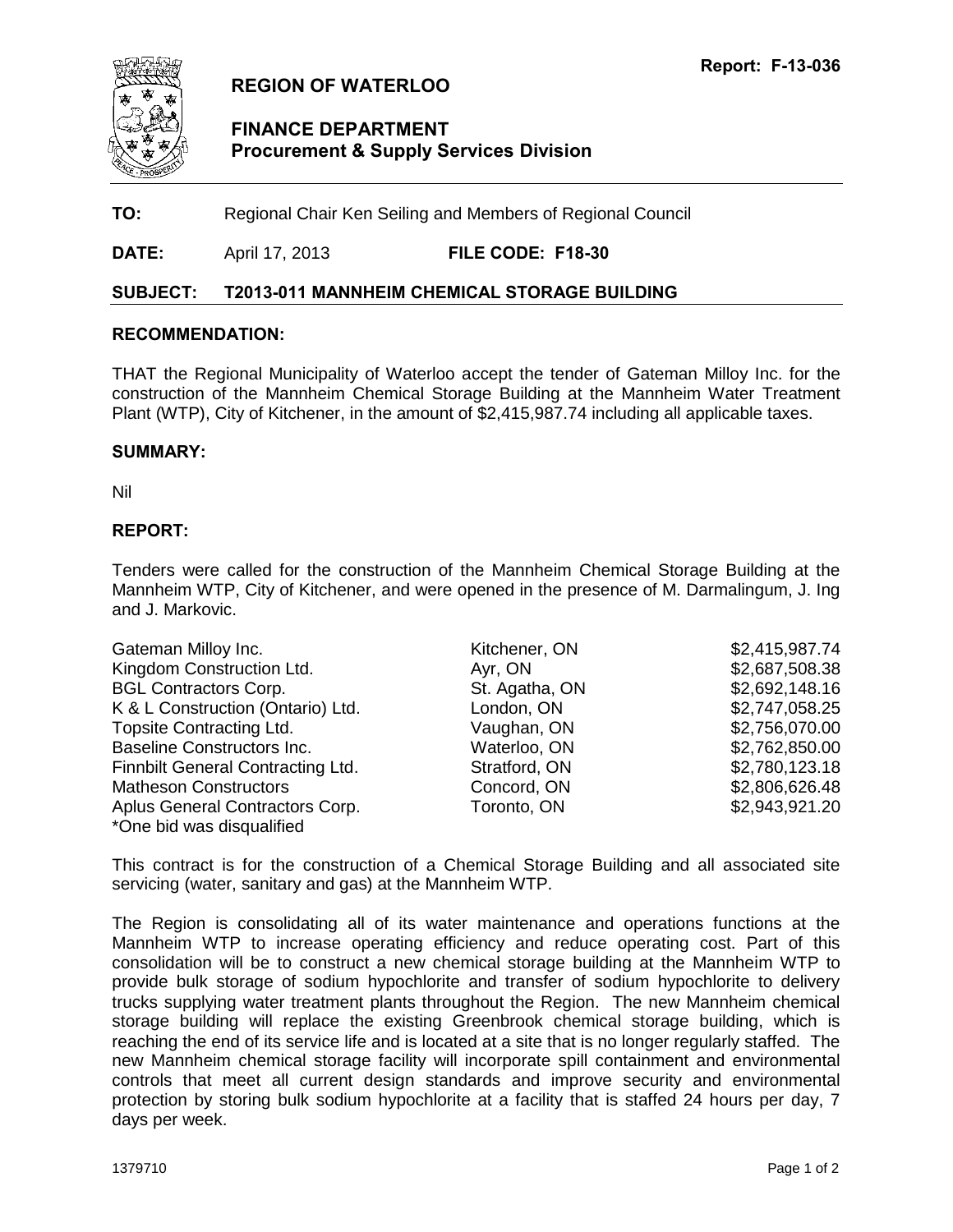<span id="page-4-0"></span>

## **REGION OF WATERLOO**

## **FINANCE DEPARTMENT Procurement & Supply Services Division**

**TO:** Regional Chair Ken Seiling and Members of Regional Council

**DATE:** April 17, 2013 **FILE CODE: F18-30**

#### **SUBJECT: T2013-011 MANNHEIM CHEMICAL STORAGE BUILDING**

#### **RECOMMENDATION:**

THAT the Regional Municipality of Waterloo accept the tender of Gateman Milloy Inc. for the construction of the Mannheim Chemical Storage Building at the Mannheim Water Treatment Plant (WTP), City of Kitchener, in the amount of \$2,415,987.74 including all applicable taxes.

#### **SUMMARY:**

Nil

#### **REPORT:**

Tenders were called for the construction of the Mannheim Chemical Storage Building at the Mannheim WTP, City of Kitchener, and were opened in the presence of M. Darmalingum, J. Ing and J. Markovic.

| Gateman Milloy Inc.                      | Kitchener, ON  | \$2,415,987.74 |
|------------------------------------------|----------------|----------------|
| Kingdom Construction Ltd.                | Ayr, ON        | \$2,687,508.38 |
| <b>BGL Contractors Corp.</b>             | St. Agatha, ON | \$2,692,148.16 |
| K & L Construction (Ontario) Ltd.        | London, ON     | \$2,747,058.25 |
| <b>Topsite Contracting Ltd.</b>          | Vaughan, ON    | \$2,756,070.00 |
| <b>Baseline Constructors Inc.</b>        | Waterloo, ON   | \$2,762,850.00 |
| <b>Finnbilt General Contracting Ltd.</b> | Stratford, ON  | \$2,780,123.18 |
| <b>Matheson Constructors</b>             | Concord, ON    | \$2,806,626.48 |
| Aplus General Contractors Corp.          | Toronto, ON    | \$2,943,921.20 |
| *One bid was disqualified                |                |                |

This contract is for the construction of a Chemical Storage Building and all associated site servicing (water, sanitary and gas) at the Mannheim WTP.

The Region is consolidating all of its water maintenance and operations functions at the Mannheim WTP to increase operating efficiency and reduce operating cost. Part of this consolidation will be to construct a new chemical storage building at the Mannheim WTP to provide bulk storage of sodium hypochlorite and transfer of sodium hypochlorite to delivery trucks supplying water treatment plants throughout the Region. The new Mannheim chemical storage building will replace the existing Greenbrook chemical storage building, which is reaching the end of its service life and is located at a site that is no longer regularly staffed. The new Mannheim chemical storage facility will incorporate spill containment and environmental controls that meet all current design standards and improve security and environmental protection by storing bulk sodium hypochlorite at a facility that is staffed 24 hours per day, 7 days per week.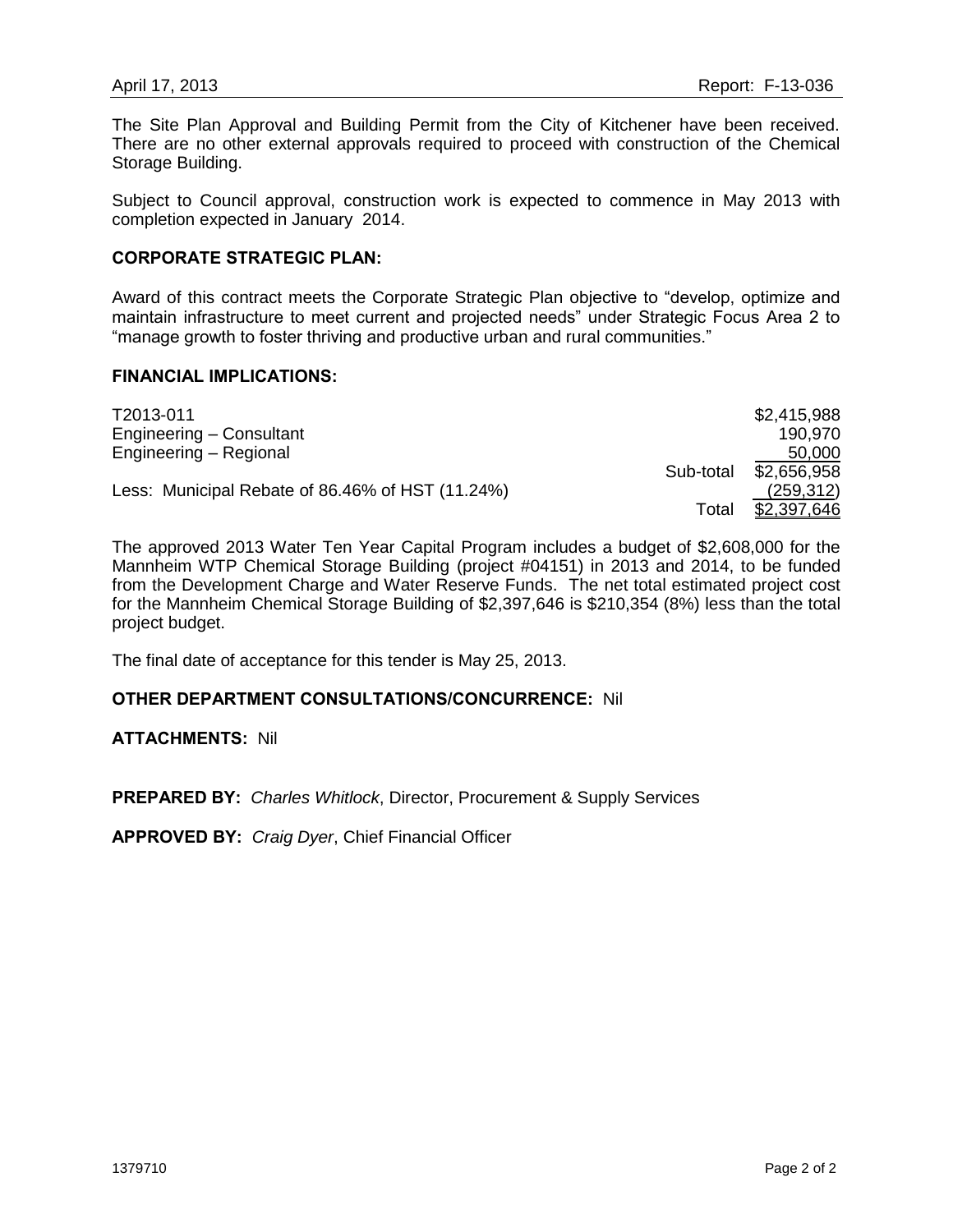The Site Plan Approval and Building Permit from the City of Kitchener have been received. There are no other external approvals required to proceed with construction of the Chemical Storage Building.

Subject to Council approval, construction work is expected to commence in May 2013 with completion expected in January 2014.

#### **CORPORATE STRATEGIC PLAN:**

Award of this contract meets the Corporate Strategic Plan objective to "develop, optimize and maintain infrastructure to meet current and projected needs" under Strategic Focus Area 2 to "manage growth to foster thriving and productive urban and rural communities."

#### **FINANCIAL IMPLICATIONS:**

| T2013-011                                        |           | \$2,415,988 |
|--------------------------------------------------|-----------|-------------|
| Engineering - Consultant                         |           | 190.970     |
| Engineering - Regional                           |           | 50,000      |
|                                                  | Sub-total | \$2,656,958 |
| Less: Municipal Rebate of 86.46% of HST (11.24%) |           | (259, 312)  |
|                                                  | Total     | \$2,397,646 |

The approved 2013 Water Ten Year Capital Program includes a budget of \$2,608,000 for the Mannheim WTP Chemical Storage Building (project #04151) in 2013 and 2014, to be funded from the Development Charge and Water Reserve Funds. The net total estimated project cost for the Mannheim Chemical Storage Building of \$2,397,646 is \$210,354 (8%) less than the total project budget.

The final date of acceptance for this tender is May 25, 2013.

#### **OTHER DEPARTMENT CONSULTATIONS/CONCURRENCE:** Nil

#### **ATTACHMENTS:** Nil

**PREPARED BY:** *Charles Whitlock*, Director, Procurement & Supply Services

**APPROVED BY:** *Craig Dyer*, Chief Financial Officer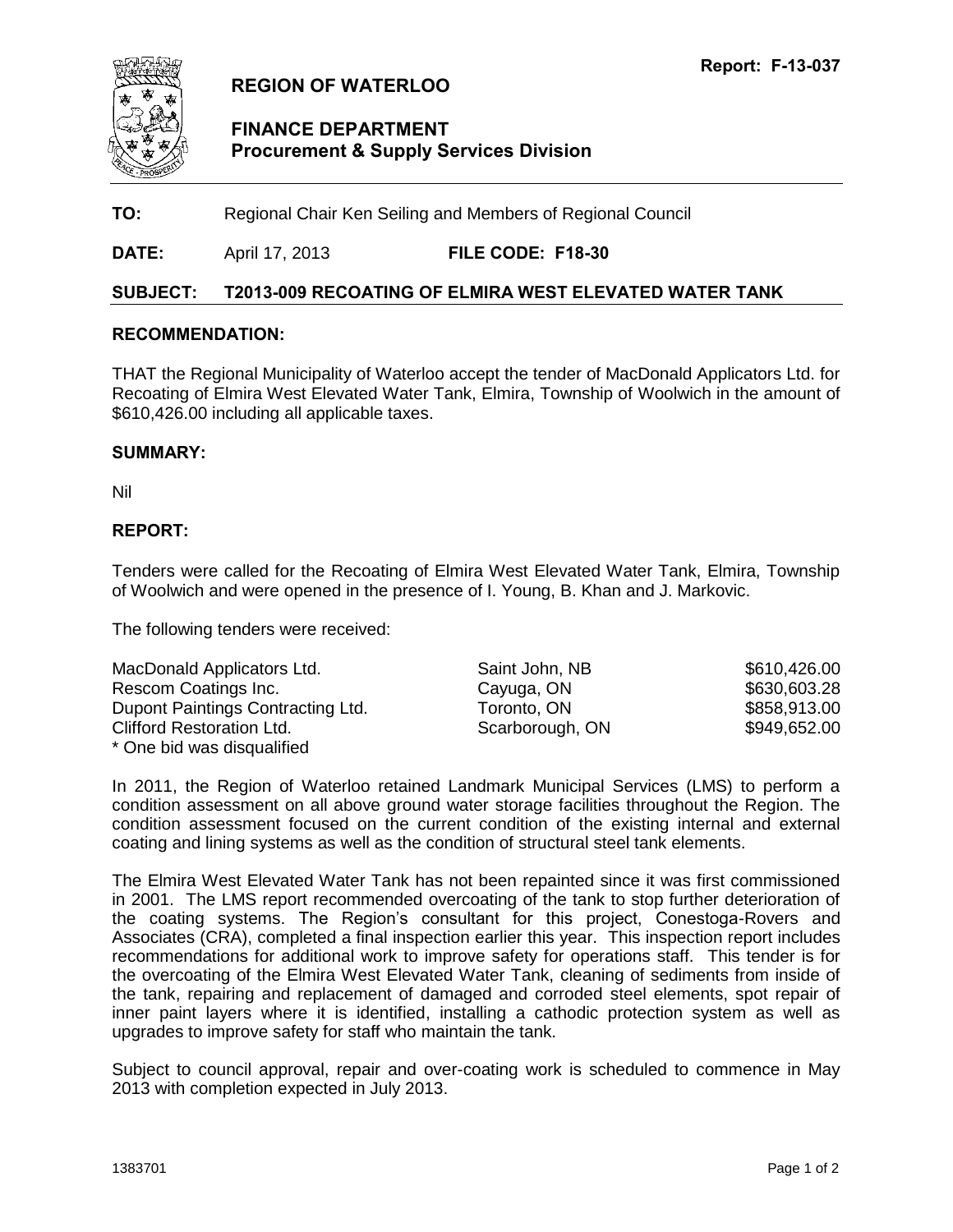<span id="page-6-0"></span>

## **REGION OF WATERLOO**

## **FINANCE DEPARTMENT Procurement & Supply Services Division**

**TO:** Regional Chair Ken Seiling and Members of Regional Council

**DATE:** April 17, 2013 **FILE CODE: F18-30**

#### **SUBJECT: T2013-009 RECOATING OF ELMIRA WEST ELEVATED WATER TANK**

#### **RECOMMENDATION:**

THAT the Regional Municipality of Waterloo accept the tender of MacDonald Applicators Ltd. for Recoating of Elmira West Elevated Water Tank, Elmira, Township of Woolwich in the amount of \$610,426.00 including all applicable taxes.

#### **SUMMARY:**

Nil

#### **REPORT:**

Tenders were called for the Recoating of Elmira West Elevated Water Tank, Elmira, Township of Woolwich and were opened in the presence of I. Young, B. Khan and J. Markovic.

The following tenders were received:

| MacDonald Applicators Ltd.        | Saint John, NB  | \$610,426.00 |
|-----------------------------------|-----------------|--------------|
| Rescom Coatings Inc.              | Cayuga, ON      | \$630,603.28 |
| Dupont Paintings Contracting Ltd. | Toronto, ON     | \$858,913.00 |
| <b>Clifford Restoration Ltd.</b>  | Scarborough, ON | \$949,652.00 |
| * One bid was disqualified        |                 |              |

In 2011, the Region of Waterloo retained Landmark Municipal Services (LMS) to perform a condition assessment on all above ground water storage facilities throughout the Region. The condition assessment focused on the current condition of the existing internal and external coating and lining systems as well as the condition of structural steel tank elements.

The Elmira West Elevated Water Tank has not been repainted since it was first commissioned in 2001. The LMS report recommended overcoating of the tank to stop further deterioration of the coating systems. The Region's consultant for this project, Conestoga-Rovers and Associates (CRA), completed a final inspection earlier this year. This inspection report includes recommendations for additional work to improve safety for operations staff. This tender is for the overcoating of the Elmira West Elevated Water Tank, cleaning of sediments from inside of the tank, repairing and replacement of damaged and corroded steel elements, spot repair of inner paint layers where it is identified, installing a cathodic protection system as well as upgrades to improve safety for staff who maintain the tank.

Subject to council approval, repair and over-coating work is scheduled to commence in May 2013 with completion expected in July 2013.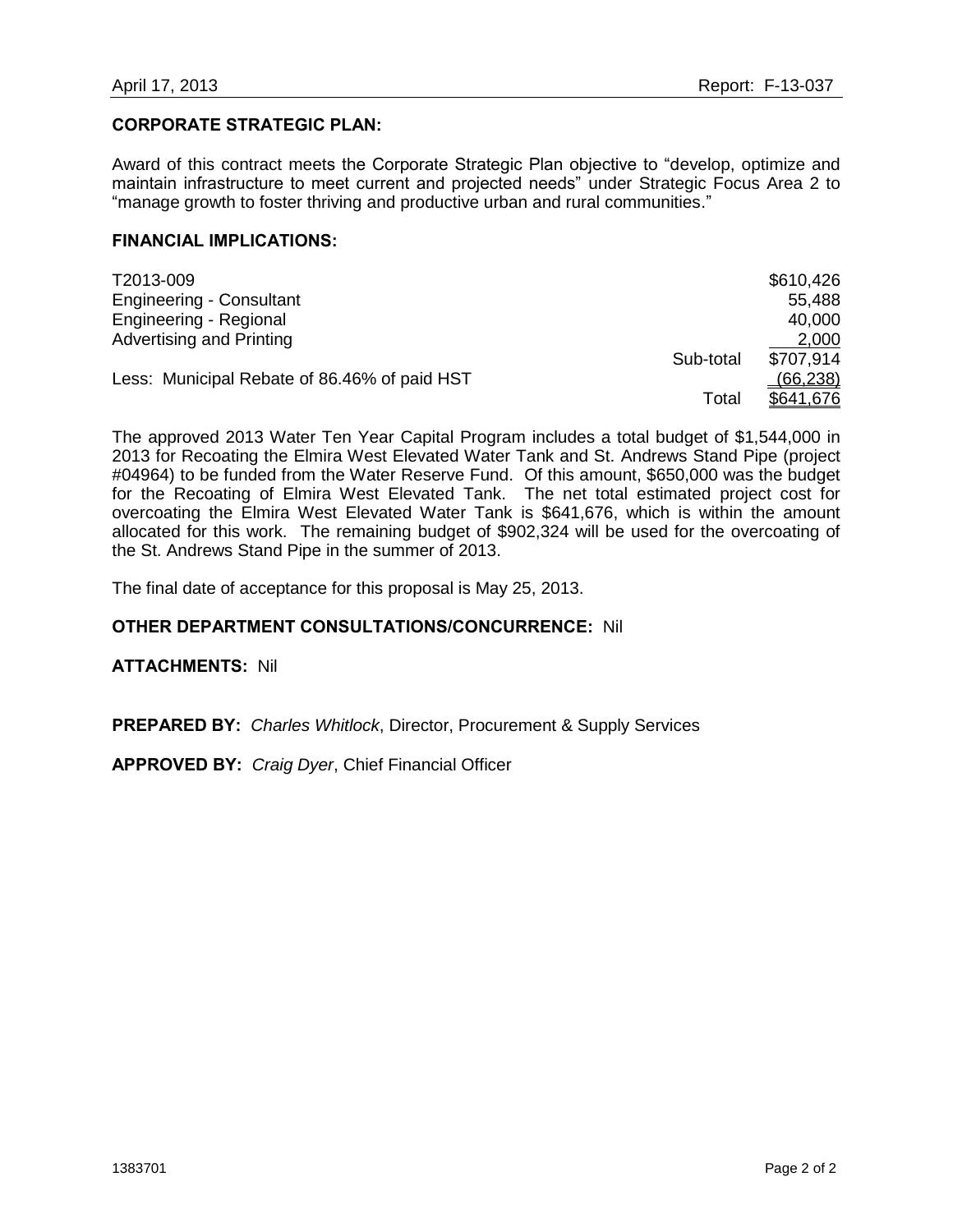#### **CORPORATE STRATEGIC PLAN:**

Award of this contract meets the Corporate Strategic Plan objective to "develop, optimize and maintain infrastructure to meet current and projected needs" under Strategic Focus Area 2 to "manage growth to foster thriving and productive urban and rural communities."

#### **FINANCIAL IMPLICATIONS:**

| T2013-009                                    |           | \$610,426 |
|----------------------------------------------|-----------|-----------|
| <b>Engineering - Consultant</b>              |           | 55,488    |
| Engineering - Regional                       |           | 40,000    |
| Advertising and Printing                     |           | 2,000     |
|                                              | Sub-total | \$707,914 |
| Less: Municipal Rebate of 86.46% of paid HST |           | (66, 238) |
|                                              | Total     | \$641.676 |

The approved 2013 Water Ten Year Capital Program includes a total budget of \$1,544,000 in 2013 for Recoating the Elmira West Elevated Water Tank and St. Andrews Stand Pipe (project #04964) to be funded from the Water Reserve Fund. Of this amount, \$650,000 was the budget for the Recoating of Elmira West Elevated Tank. The net total estimated project cost for overcoating the Elmira West Elevated Water Tank is \$641,676, which is within the amount allocated for this work. The remaining budget of \$902,324 will be used for the overcoating of the St. Andrews Stand Pipe in the summer of 2013.

The final date of acceptance for this proposal is May 25, 2013.

## **OTHER DEPARTMENT CONSULTATIONS/CONCURRENCE:** Nil

**ATTACHMENTS:** Nil

**PREPARED BY:** *Charles Whitlock*, Director, Procurement & Supply Services

**APPROVED BY:** *Craig Dyer*, Chief Financial Officer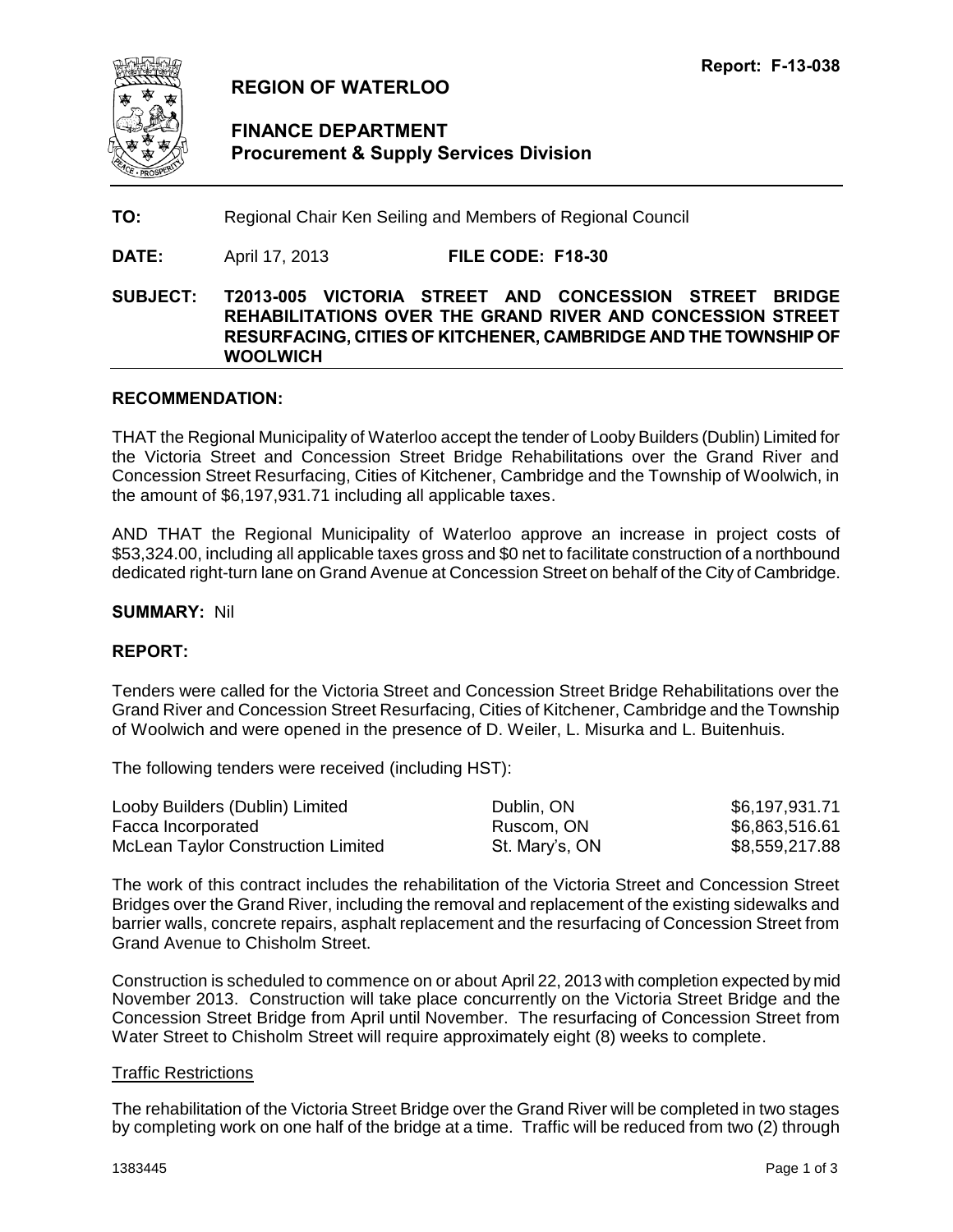<span id="page-8-0"></span>

## **REGION OF WATERLOO**

## **FINANCE DEPARTMENT Procurement & Supply Services Division**

**TO:** Regional Chair Ken Seiling and Members of Regional Council

**DATE:** April 17, 2013 **FILE CODE: F18-30**

**SUBJECT: T2013-005 VICTORIA STREET AND CONCESSION STREET BRIDGE REHABILITATIONS OVER THE GRAND RIVER AND CONCESSION STREET RESURFACING, CITIES OF KITCHENER, CAMBRIDGE AND THE TOWNSHIP OF WOOLWICH** 

#### **RECOMMENDATION:**

THAT the Regional Municipality of Waterloo accept the tender of Looby Builders (Dublin) Limited for the Victoria Street and Concession Street Bridge Rehabilitations over the Grand River and Concession Street Resurfacing, Cities of Kitchener, Cambridge and the Township of Woolwich, in the amount of \$6,197,931.71 including all applicable taxes.

AND THAT the Regional Municipality of Waterloo approve an increase in project costs of \$53,324.00, including all applicable taxes gross and \$0 net to facilitate construction of a northbound dedicated right-turn lane on Grand Avenue at Concession Street on behalf of the City of Cambridge.

#### **SUMMARY:** Nil

#### **REPORT:**

Tenders were called for the Victoria Street and Concession Street Bridge Rehabilitations over the Grand River and Concession Street Resurfacing, Cities of Kitchener, Cambridge and the Township of Woolwich and were opened in the presence of D. Weiler, L. Misurka and L. Buitenhuis.

The following tenders were received (including HST):

| Looby Builders (Dublin) Limited           | Dublin, ON     | \$6,197,931.71 |
|-------------------------------------------|----------------|----------------|
| Facca Incorporated                        | Ruscom, ON     | \$6,863,516.61 |
| <b>McLean Taylor Construction Limited</b> | St. Mary's, ON | \$8,559,217.88 |

The work of this contract includes the rehabilitation of the Victoria Street and Concession Street Bridges over the Grand River, including the removal and replacement of the existing sidewalks and barrier walls, concrete repairs, asphalt replacement and the resurfacing of Concession Street from Grand Avenue to Chisholm Street.

Construction is scheduled to commence on or about April 22, 2013 with completion expected by mid November 2013. Construction will take place concurrently on the Victoria Street Bridge and the Concession Street Bridge from April until November. The resurfacing of Concession Street from Water Street to Chisholm Street will require approximately eight (8) weeks to complete.

#### Traffic Restrictions

The rehabilitation of the Victoria Street Bridge over the Grand River will be completed in two stages by completing work on one half of the bridge at a time. Traffic will be reduced from two (2) through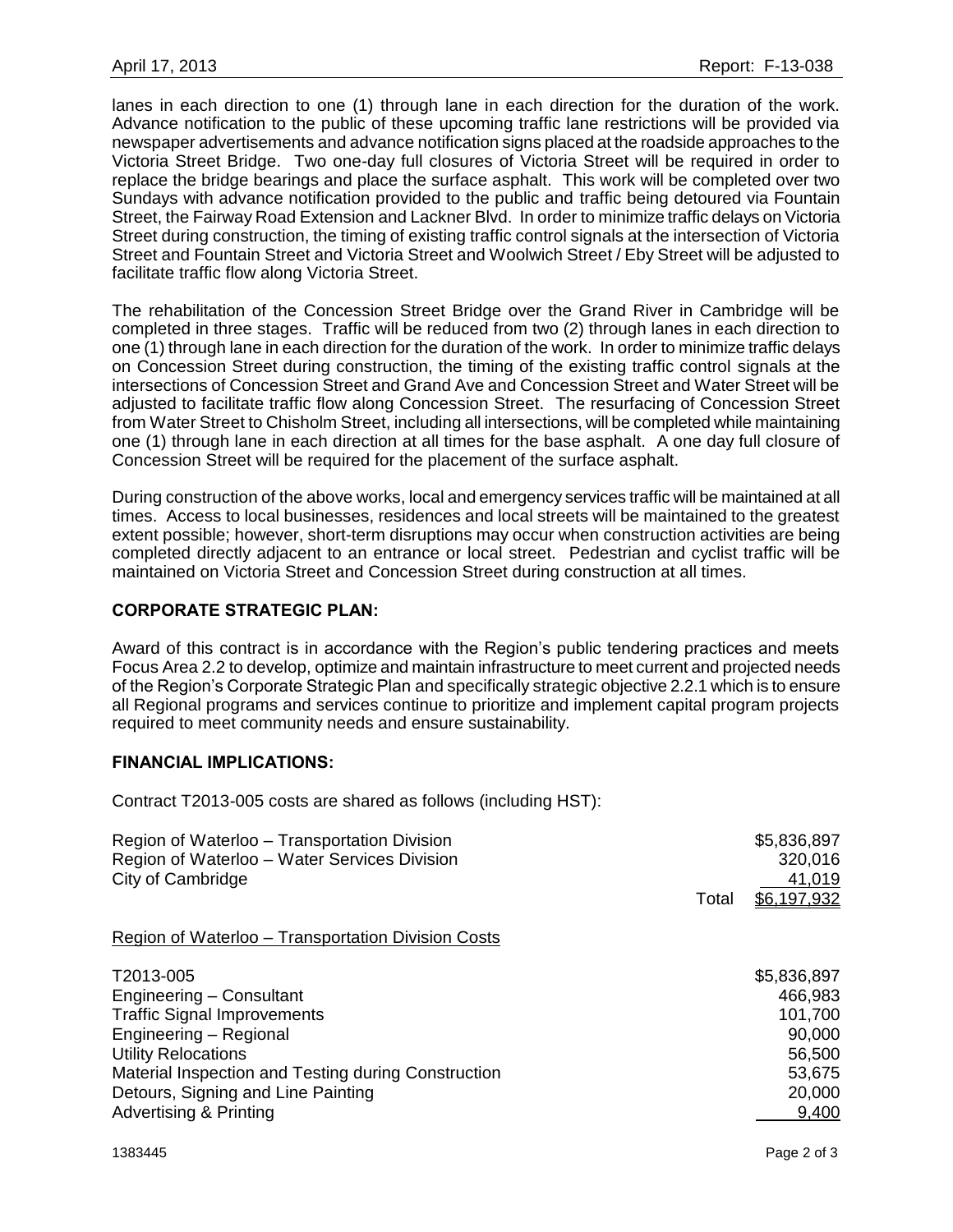lanes in each direction to one (1) through lane in each direction for the duration of the work. Advance notification to the public of these upcoming traffic lane restrictions will be provided via newspaper advertisements and advance notification signs placed at the roadside approaches to the Victoria Street Bridge. Two one-day full closures of Victoria Street will be required in order to replace the bridge bearings and place the surface asphalt. This work will be completed over two Sundays with advance notification provided to the public and traffic being detoured via Fountain Street, the Fairway Road Extension and Lackner Blvd. In order to minimize traffic delays on Victoria Street during construction, the timing of existing traffic control signals at the intersection of Victoria Street and Fountain Street and Victoria Street and Woolwich Street / Eby Street will be adjusted to facilitate traffic flow along Victoria Street.

The rehabilitation of the Concession Street Bridge over the Grand River in Cambridge will be completed in three stages. Traffic will be reduced from two (2) through lanes in each direction to one (1) through lane in each direction for the duration of the work. In order to minimize traffic delays on Concession Street during construction, the timing of the existing traffic control signals at the intersections of Concession Street and Grand Ave and Concession Street and Water Street will be adjusted to facilitate traffic flow along Concession Street. The resurfacing of Concession Street from Water Street to Chisholm Street, including all intersections, will be completed while maintaining one (1) through lane in each direction at all times for the base asphalt. A one day full closure of Concession Street will be required for the placement of the surface asphalt.

During construction of the above works, local and emergency services traffic will be maintained at all times. Access to local businesses, residences and local streets will be maintained to the greatest extent possible; however, short-term disruptions may occur when construction activities are being completed directly adjacent to an entrance or local street. Pedestrian and cyclist traffic will be maintained on Victoria Street and Concession Street during construction at all times.

## **CORPORATE STRATEGIC PLAN:**

Award of this contract is in accordance with the Region's public tendering practices and meets Focus Area 2.2 to develop, optimize and maintain infrastructure to meet current and projected needs of the Region's Corporate Strategic Plan and specifically strategic objective 2.2.1 which is to ensure all Regional programs and services continue to prioritize and implement capital program projects required to meet community needs and ensure sustainability.

## **FINANCIAL IMPLICATIONS:**

Contract T2013-005 costs are shared as follows (including HST):

| Region of Waterloo - Transportation Division<br>Region of Waterloo - Water Services Division<br>City of Cambridge                                                                                                                                                     | Total | \$5,836,897<br>320,016<br>41,019<br>\$6,197,932                                    |
|-----------------------------------------------------------------------------------------------------------------------------------------------------------------------------------------------------------------------------------------------------------------------|-------|------------------------------------------------------------------------------------|
| Region of Waterloo - Transportation Division Costs                                                                                                                                                                                                                    |       |                                                                                    |
| T2013-005<br>Engineering – Consultant<br><b>Traffic Signal Improvements</b><br>Engineering - Regional<br><b>Utility Relocations</b><br>Material Inspection and Testing during Construction<br>Detours, Signing and Line Painting<br><b>Advertising &amp; Printing</b> |       | \$5,836,897<br>466,983<br>101,700<br>90,000<br>56,500<br>53,675<br>20,000<br>9,400 |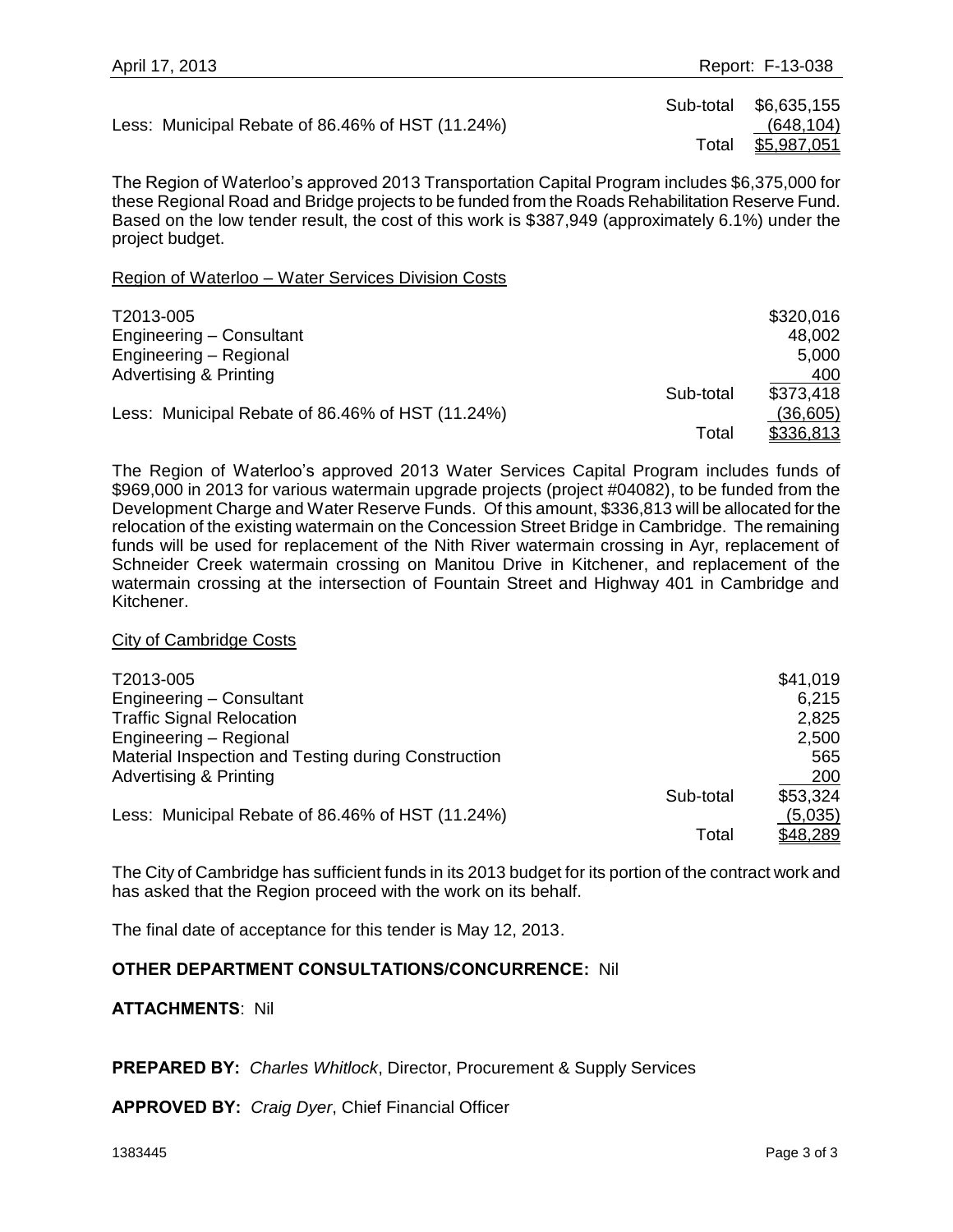Less: Municipal Rebate of 86.46% of HST (11.24%) (648,104)

 Sub-total \$6,635,155 Total \$5,987,051

The Region of Waterloo's approved 2013 Transportation Capital Program includes \$6,375,000 for these Regional Road and Bridge projects to be funded from the Roads Rehabilitation Reserve Fund. Based on the low tender result, the cost of this work is \$387,949 (approximately 6.1%) under the project budget.

#### Region of Waterloo – Water Services Division Costs

| T2013-005                                        |           | \$320,016 |
|--------------------------------------------------|-----------|-----------|
| Engineering – Consultant                         |           | 48,002    |
| Engineering - Regional                           |           | 5,000     |
| <b>Advertising &amp; Printing</b>                |           | 400       |
|                                                  | Sub-total | \$373,418 |
| Less: Municipal Rebate of 86.46% of HST (11.24%) |           | (36,605)  |
|                                                  | Total     | \$336,813 |

The Region of Waterloo's approved 2013 Water Services Capital Program includes funds of \$969,000 in 2013 for various watermain upgrade projects (project #04082), to be funded from the Development Charge and Water Reserve Funds. Of this amount, \$336,813 will be allocated for the relocation of the existing watermain on the Concession Street Bridge in Cambridge. The remaining funds will be used for replacement of the Nith River watermain crossing in Ayr, replacement of Schneider Creek watermain crossing on Manitou Drive in Kitchener, and replacement of the watermain crossing at the intersection of Fountain Street and Highway 401 in Cambridge and Kitchener.

#### City of Cambridge Costs

| T2013-005                                           |           | \$41,019 |
|-----------------------------------------------------|-----------|----------|
| Engineering - Consultant                            |           | 6,215    |
| <b>Traffic Signal Relocation</b>                    |           | 2,825    |
| Engineering - Regional                              |           | 2,500    |
| Material Inspection and Testing during Construction |           | 565      |
| <b>Advertising &amp; Printing</b>                   |           | 200      |
|                                                     | Sub-total | \$53,324 |
| Less: Municipal Rebate of 86.46% of HST (11.24%)    |           | (5,035)  |
|                                                     | Total     | \$48,289 |

The City of Cambridge has sufficient funds in its 2013 budget for its portion of the contract work and has asked that the Region proceed with the work on its behalf.

The final date of acceptance for this tender is May 12, 2013.

## **OTHER DEPARTMENT CONSULTATIONS/CONCURRENCE:** Nil

#### **ATTACHMENTS**: Nil

#### **PREPARED BY:** *Charles Whitlock*, Director, Procurement & Supply Services

**APPROVED BY:** *Craig Dyer*, Chief Financial Officer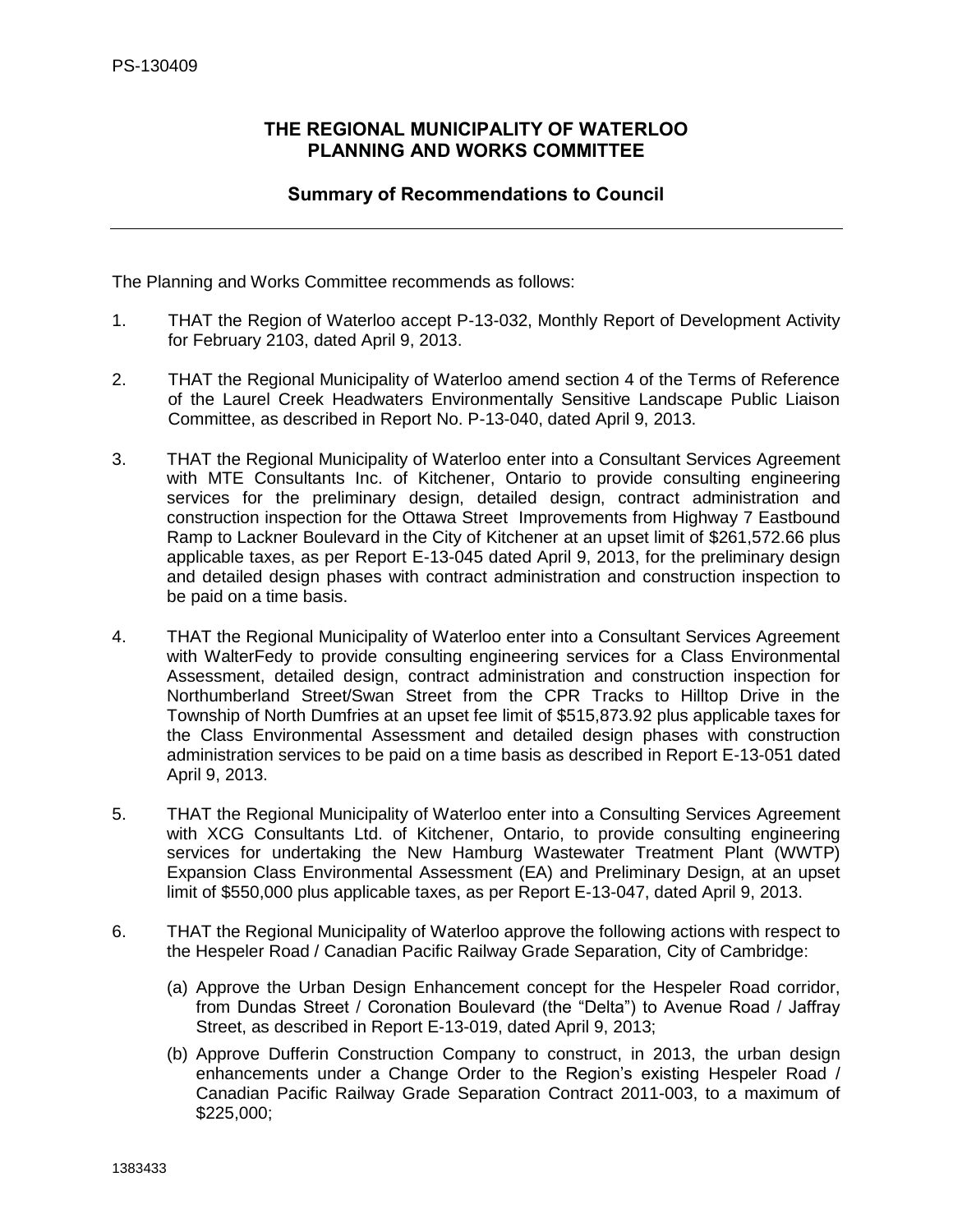## <span id="page-11-0"></span>**THE REGIONAL MUNICIPALITY OF WATERLOO PLANNING AND WORKS COMMITTEE**

## **Summary of Recommendations to Council**

The Planning and Works Committee recommends as follows:

- 1. THAT the Region of Waterloo accept P-13-032, Monthly Report of Development Activity for February 2103, dated April 9, 2013.
- 2. THAT the Regional Municipality of Waterloo amend section 4 of the Terms of Reference of the Laurel Creek Headwaters Environmentally Sensitive Landscape Public Liaison Committee, as described in Report No. P-13-040, dated April 9, 2013.
- 3. THAT the Regional Municipality of Waterloo enter into a Consultant Services Agreement with MTE Consultants Inc. of Kitchener, Ontario to provide consulting engineering services for the preliminary design, detailed design, contract administration and construction inspection for the Ottawa Street Improvements from Highway 7 Eastbound Ramp to Lackner Boulevard in the City of Kitchener at an upset limit of \$261,572.66 plus applicable taxes, as per Report E-13-045 dated April 9, 2013, for the preliminary design and detailed design phases with contract administration and construction inspection to be paid on a time basis.
- 4. THAT the Regional Municipality of Waterloo enter into a Consultant Services Agreement with WalterFedy to provide consulting engineering services for a Class Environmental Assessment, detailed design, contract administration and construction inspection for Northumberland Street/Swan Street from the CPR Tracks to Hilltop Drive in the Township of North Dumfries at an upset fee limit of \$515,873.92 plus applicable taxes for the Class Environmental Assessment and detailed design phases with construction administration services to be paid on a time basis as described in Report E-13-051 dated April 9, 2013.
- 5. THAT the Regional Municipality of Waterloo enter into a Consulting Services Agreement with XCG Consultants Ltd. of Kitchener, Ontario, to provide consulting engineering services for undertaking the New Hamburg Wastewater Treatment Plant (WWTP) Expansion Class Environmental Assessment (EA) and Preliminary Design, at an upset limit of \$550,000 plus applicable taxes, as per Report E-13-047, dated April 9, 2013.
- 6. THAT the Regional Municipality of Waterloo approve the following actions with respect to the Hespeler Road / Canadian Pacific Railway Grade Separation, City of Cambridge:
	- (a) Approve the Urban Design Enhancement concept for the Hespeler Road corridor, from Dundas Street / Coronation Boulevard (the "Delta") to Avenue Road / Jaffray Street, as described in Report E-13-019, dated April 9, 2013;
	- (b) Approve Dufferin Construction Company to construct, in 2013, the urban design enhancements under a Change Order to the Region's existing Hespeler Road / Canadian Pacific Railway Grade Separation Contract 2011-003, to a maximum of \$225,000;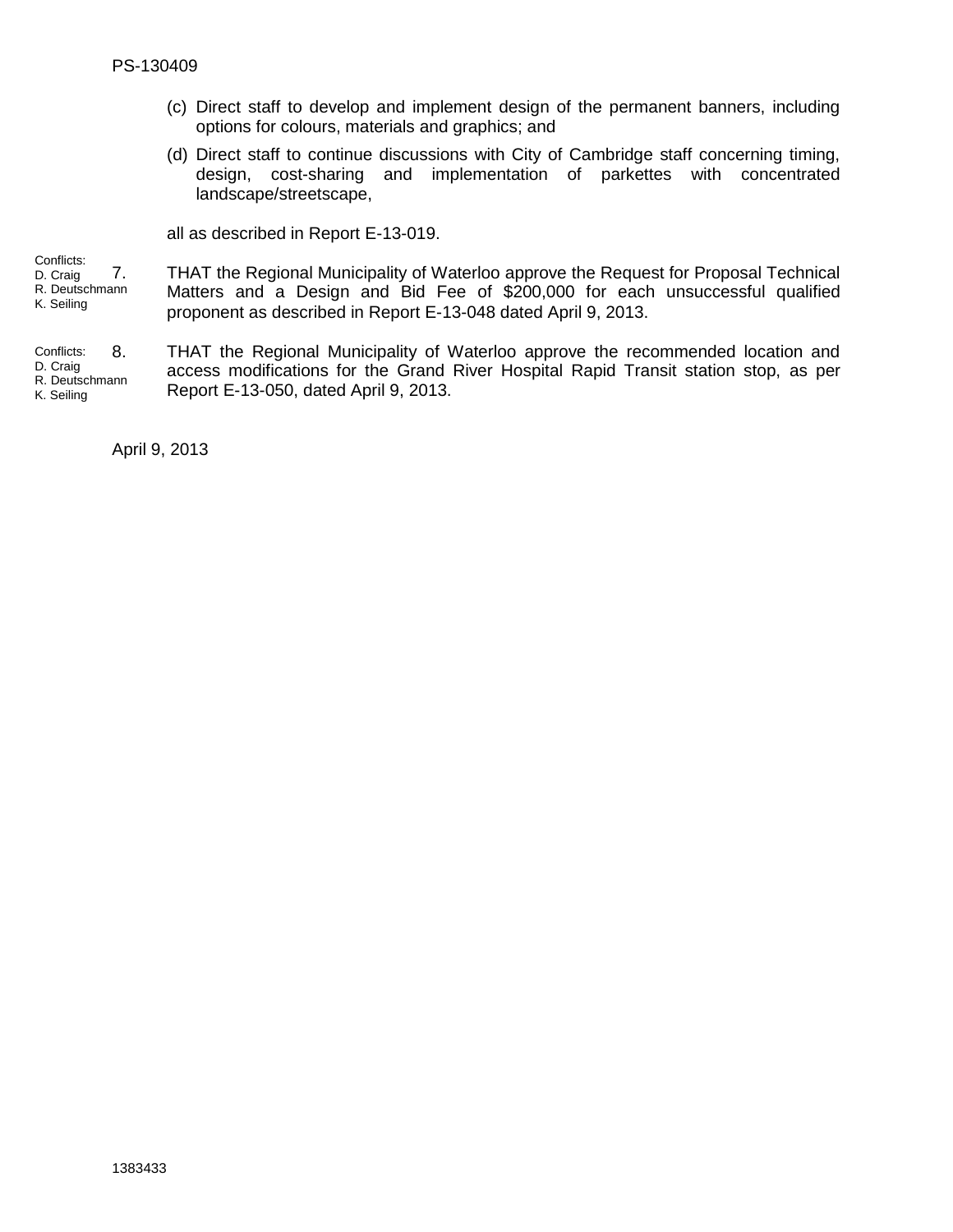- (c) Direct staff to develop and implement design of the permanent banners, including options for colours, materials and graphics; and
- (d) Direct staff to continue discussions with City of Cambridge staff concerning timing, design, cost-sharing and implementation of parkettes with concentrated landscape/streetscape,

all as described in Report E-13-019.

7. THAT the Regional Municipality of Waterloo approve the Request for Proposal Technical Conflicts: D. Craig R. Deutschmann

K. Seiling

Matters and a Design and Bid Fee of \$200,000 for each unsuccessful qualified proponent as described in Report E-13-048 dated April 9, 2013.

8. THAT the Regional Municipality of Waterloo approve the recommended location and access modifications for the Grand River Hospital Rapid Transit station stop, as per Report E-13-050, dated April 9, 2013. Conflicts: D. Craig R. Deutschmann K. Seiling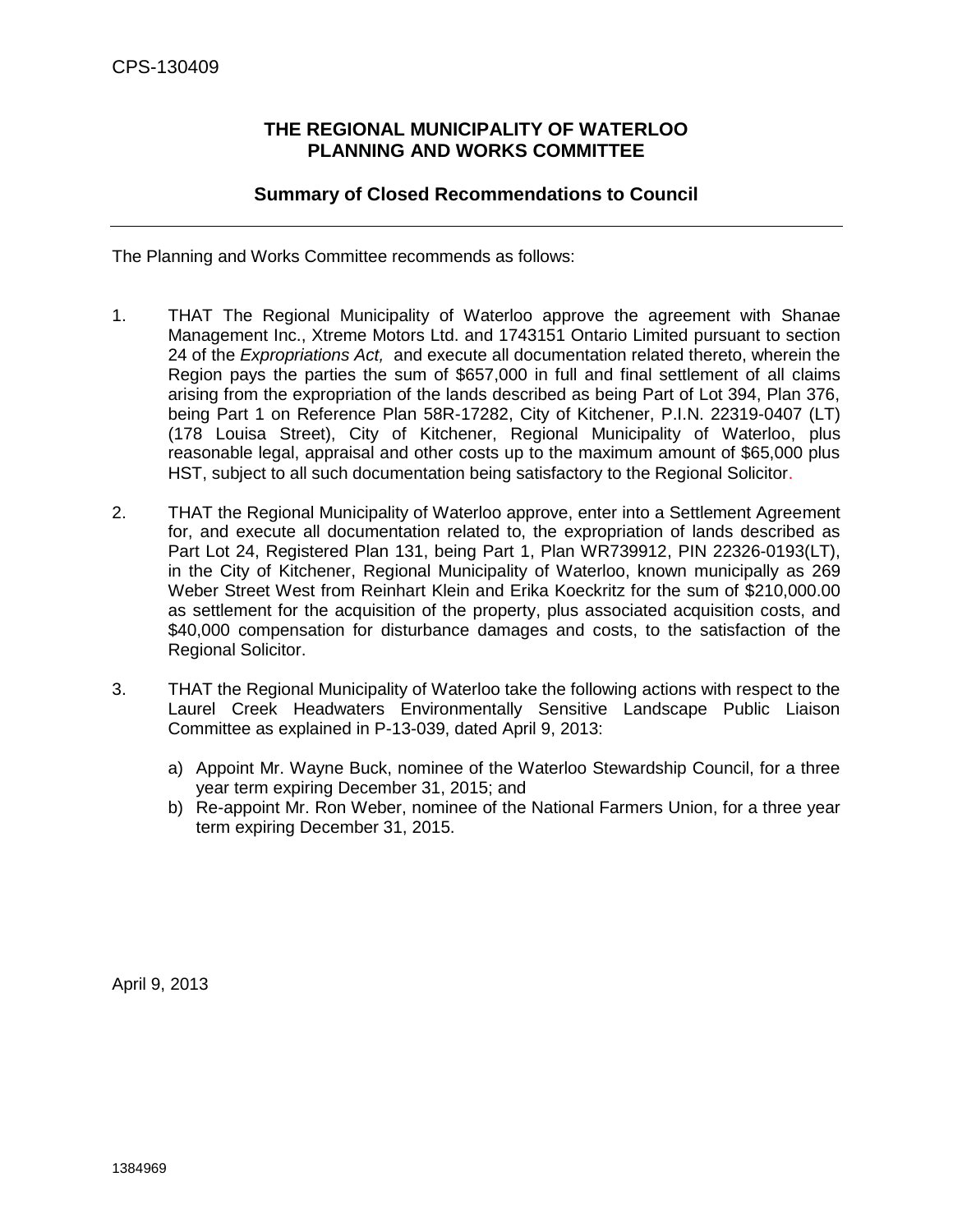## **THE REGIONAL MUNICIPALITY OF WATERLOO PLANNING AND WORKS COMMITTEE**

## **Summary of Closed Recommendations to Council**

<span id="page-13-0"></span>The Planning and Works Committee recommends as follows:

- 1. THAT The Regional Municipality of Waterloo approve the agreement with Shanae Management Inc., Xtreme Motors Ltd. and 1743151 Ontario Limited pursuant to section 24 of the *Expropriations Act,* and execute all documentation related thereto, wherein the Region pays the parties the sum of \$657,000 in full and final settlement of all claims arising from the expropriation of the lands described as being Part of Lot 394, Plan 376, being Part 1 on Reference Plan 58R-17282, City of Kitchener, P.I.N. 22319-0407 (LT) (178 Louisa Street), City of Kitchener, Regional Municipality of Waterloo, plus reasonable legal, appraisal and other costs up to the maximum amount of \$65,000 plus HST, subject to all such documentation being satisfactory to the Regional Solicitor.
- 2. THAT the Regional Municipality of Waterloo approve, enter into a Settlement Agreement for, and execute all documentation related to, the expropriation of lands described as Part Lot 24, Registered Plan 131, being Part 1, Plan WR739912, PIN 22326-0193(LT), in the City of Kitchener, Regional Municipality of Waterloo, known municipally as 269 Weber Street West from Reinhart Klein and Erika Koeckritz for the sum of \$210,000.00 as settlement for the acquisition of the property, plus associated acquisition costs, and \$40,000 compensation for disturbance damages and costs, to the satisfaction of the Regional Solicitor.
- 3. THAT the Regional Municipality of Waterloo take the following actions with respect to the Laurel Creek Headwaters Environmentally Sensitive Landscape Public Liaison Committee as explained in P-13-039, dated April 9, 2013:
	- a) Appoint Mr. Wayne Buck, nominee of the Waterloo Stewardship Council, for a three year term expiring December 31, 2015; and
	- b) Re-appoint Mr. Ron Weber, nominee of the National Farmers Union, for a three year term expiring December 31, 2015.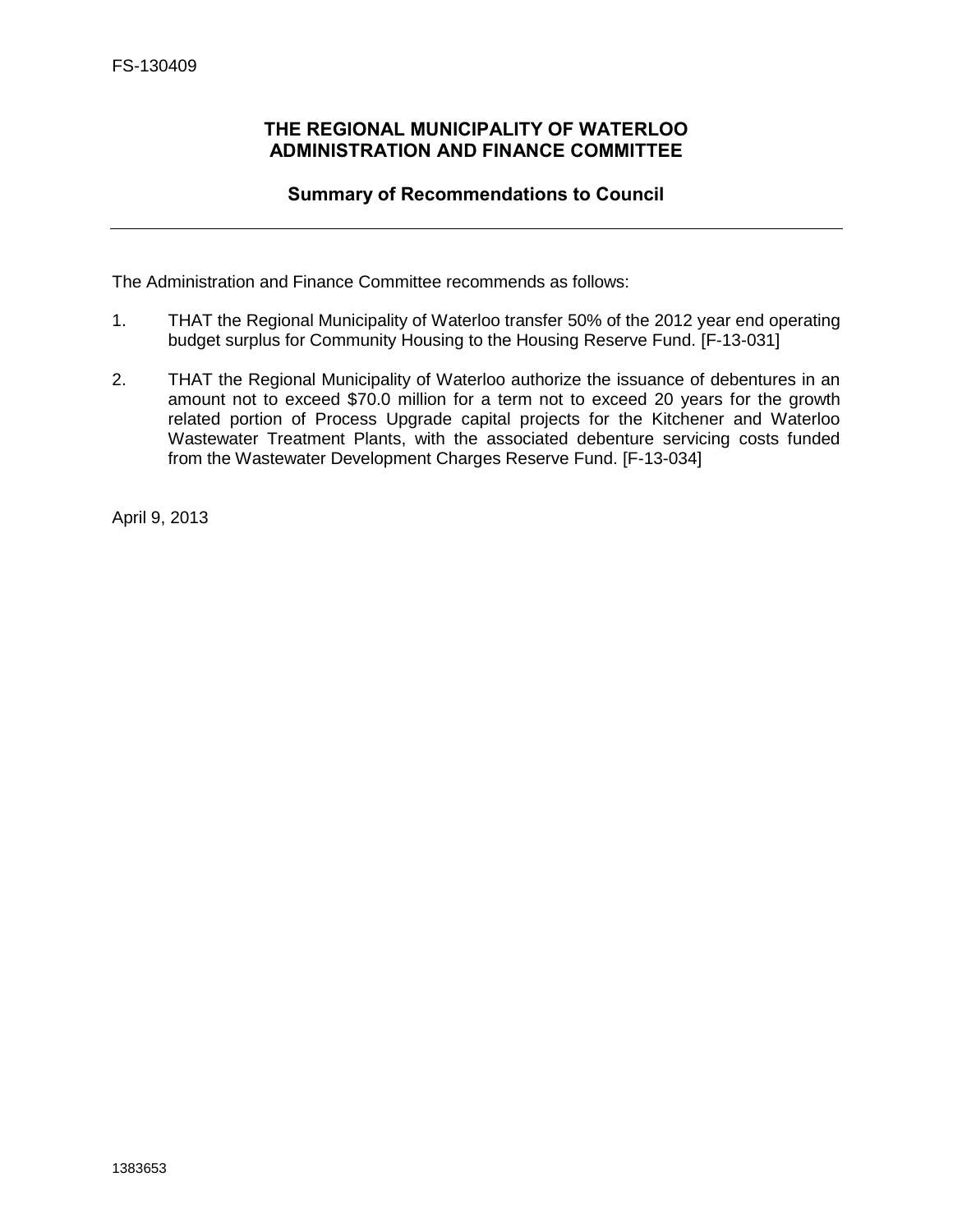## <span id="page-14-0"></span>**THE REGIONAL MUNICIPALITY OF WATERLOO ADMINISTRATION AND FINANCE COMMITTEE**

## **Summary of Recommendations to Council**

The Administration and Finance Committee recommends as follows:

- 1. THAT the Regional Municipality of Waterloo transfer 50% of the 2012 year end operating budget surplus for Community Housing to the Housing Reserve Fund. [F-13-031]
- 2. THAT the Regional Municipality of Waterloo authorize the issuance of debentures in an amount not to exceed \$70.0 million for a term not to exceed 20 years for the growth related portion of Process Upgrade capital projects for the Kitchener and Waterloo Wastewater Treatment Plants, with the associated debenture servicing costs funded from the Wastewater Development Charges Reserve Fund. [F-13-034]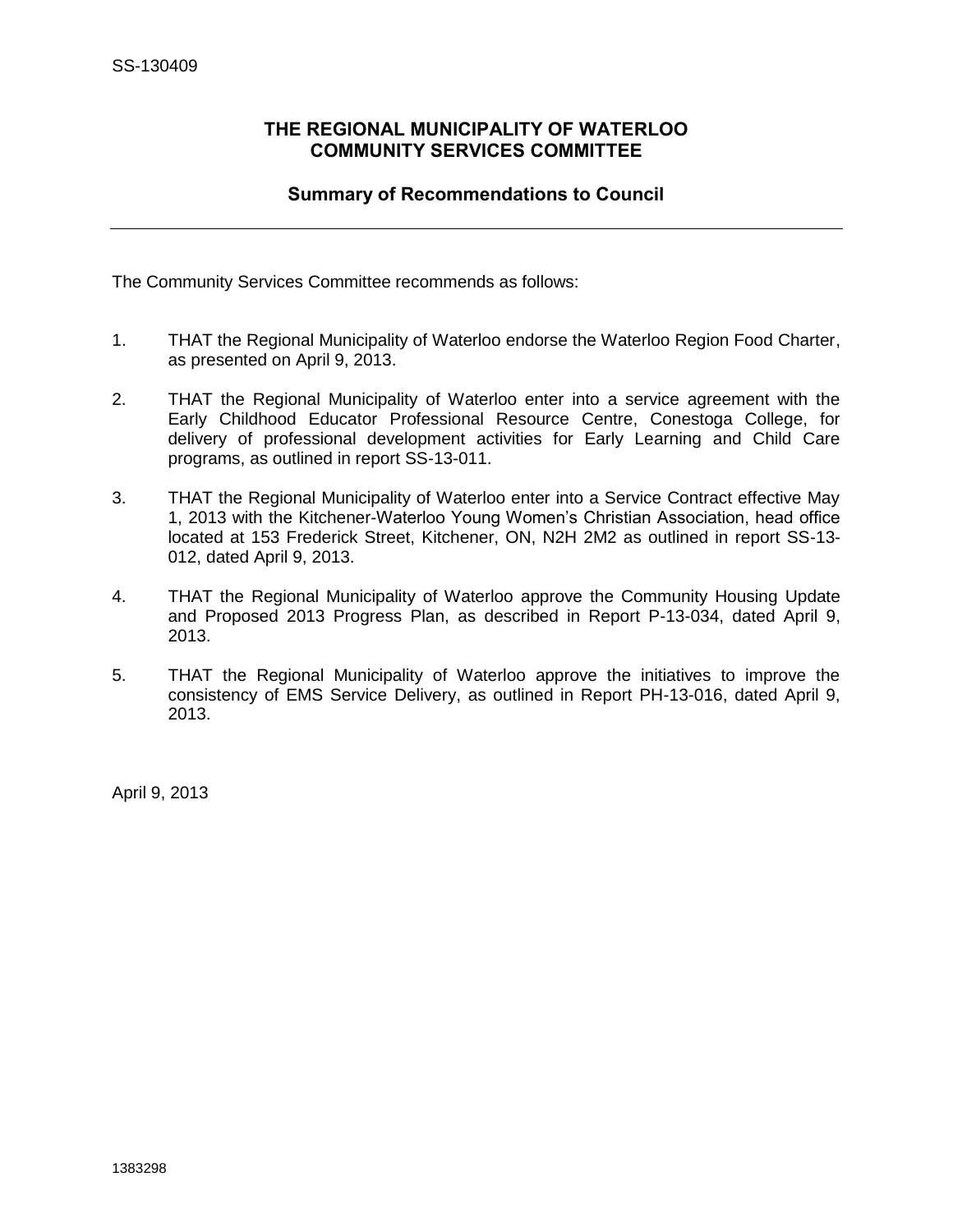## <span id="page-15-0"></span>**THE REGIONAL MUNICIPALITY OF WATERLOO COMMUNITY SERVICES COMMITTEE**

## **Summary of Recommendations to Council**

The Community Services Committee recommends as follows:

- 1. THAT the Regional Municipality of Waterloo endorse the Waterloo Region Food Charter, as presented on April 9, 2013.
- 2. THAT the Regional Municipality of Waterloo enter into a service agreement with the Early Childhood Educator Professional Resource Centre, Conestoga College, for delivery of professional development activities for Early Learning and Child Care programs, as outlined in report SS-13-011.
- 3. THAT the Regional Municipality of Waterloo enter into a Service Contract effective May 1, 2013 with the Kitchener-Waterloo Young Women's Christian Association, head office located at 153 Frederick Street, Kitchener, ON, N2H 2M2 as outlined in report SS-13- 012, dated April 9, 2013.
- 4. THAT the Regional Municipality of Waterloo approve the Community Housing Update and Proposed 2013 Progress Plan, as described in Report P-13-034, dated April 9, 2013.
- 5. THAT the Regional Municipality of Waterloo approve the initiatives to improve the consistency of EMS Service Delivery, as outlined in Report PH-13-016, dated April 9, 2013.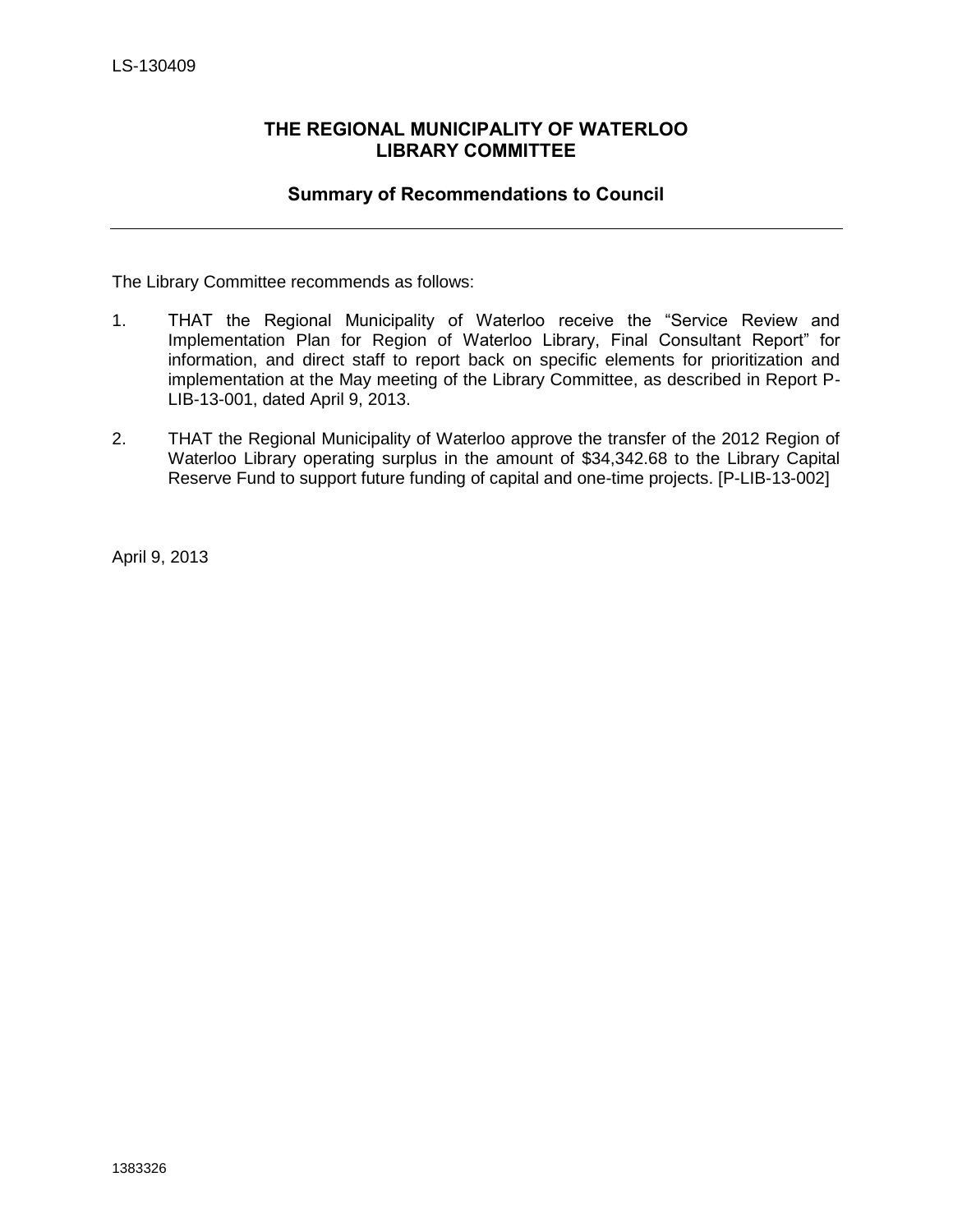## <span id="page-16-0"></span>**THE REGIONAL MUNICIPALITY OF WATERLOO LIBRARY COMMITTEE**

## **Summary of Recommendations to Council**

The Library Committee recommends as follows:

- 1. THAT the Regional Municipality of Waterloo receive the "Service Review and Implementation Plan for Region of Waterloo Library, Final Consultant Report" for information, and direct staff to report back on specific elements for prioritization and implementation at the May meeting of the Library Committee, as described in Report P-LIB-13-001, dated April 9, 2013.
- 2. THAT the Regional Municipality of Waterloo approve the transfer of the 2012 Region of Waterloo Library operating surplus in the amount of \$34,342.68 to the Library Capital Reserve Fund to support future funding of capital and one-time projects. [P-LIB-13-002]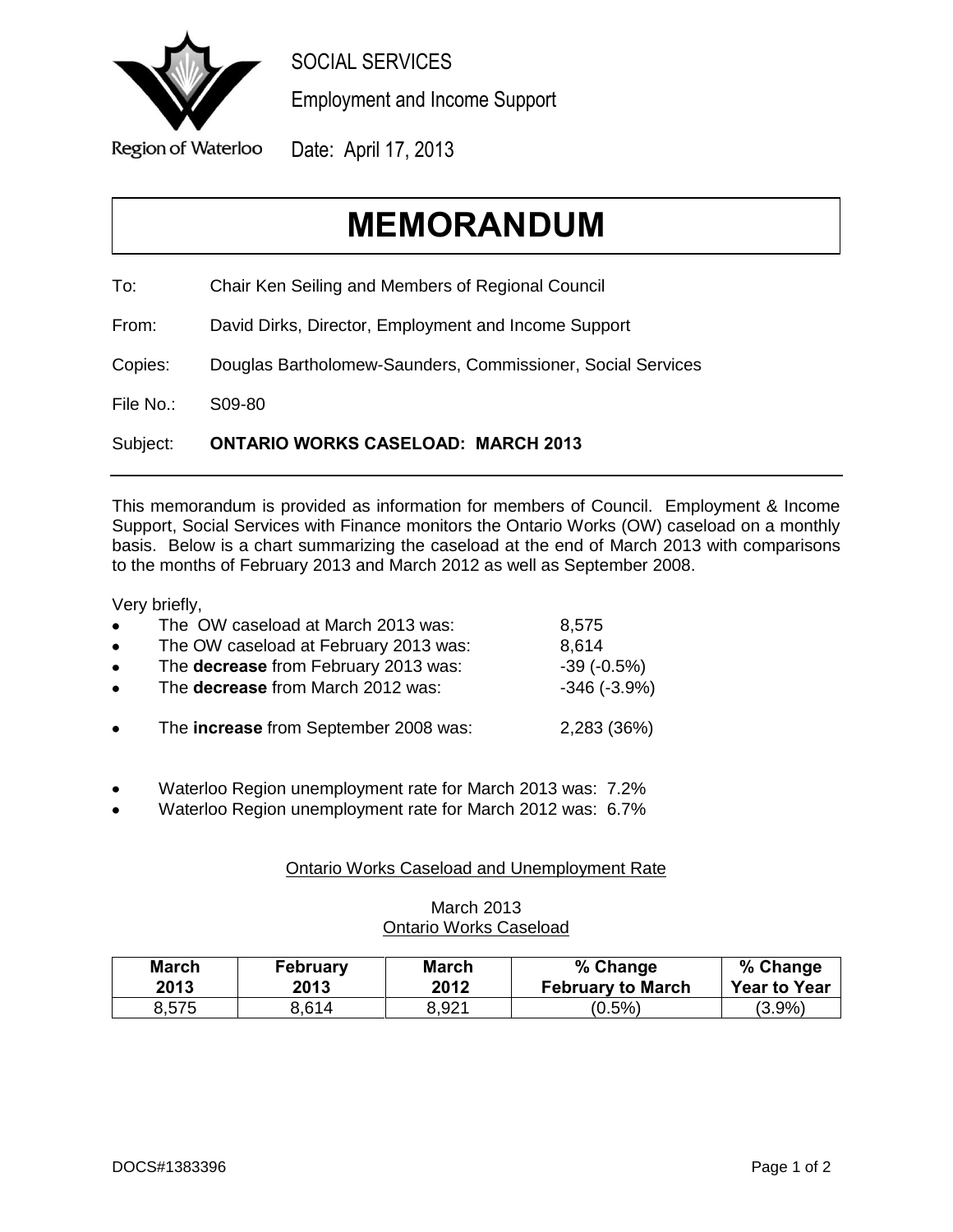<span id="page-17-0"></span>

SOCIAL SERVICES

Employment and Income Support

Date: April 17, 2013

# **MEMORANDUM**

To: Chair Ken Seiling and Members of Regional Council

From: David Dirks, Director, Employment and Income Support

Copies: Douglas Bartholomew-Saunders, Commissioner, Social Services

File No.: S09-80

Subject: **ONTARIO WORKS CASELOAD: MARCH 2013**

This memorandum is provided as information for members of Council. Employment & Income Support, Social Services with Finance monitors the Ontario Works (OW) caseload on a monthly basis. Below is a chart summarizing the caseload at the end of March 2013 with comparisons to the months of February 2013 and March 2012 as well as September 2008.

Very briefly,

| $\bullet$ | The OW caseload at March 2013 was:    | 8,575         |
|-----------|---------------------------------------|---------------|
| $\bullet$ | The OW caseload at February 2013 was: | 8,614         |
| $\bullet$ | The decrease from February 2013 was:  | $-39(-0.5%)$  |
| $\bullet$ | The decrease from March 2012 was:     | $-346(-3.9%)$ |
| $\bullet$ | The increase from September 2008 was: | 2,283 (36%)   |

- Waterloo Region unemployment rate for March 2013 was: 7.2%
- Waterloo Region unemployment rate for March 2012 was: 6.7%

## Ontario Works Caseload and Unemployment Rate

## March 2013 Ontario Works Caseload

| <b>March</b> | <b>February</b> | <b>March</b> | % Change                 | % Change            |
|--------------|-----------------|--------------|--------------------------|---------------------|
| 2013         | 2013            | 2012         | <b>February to March</b> | <b>Year to Year</b> |
| 8,575        | 8.614           | 8,921        | $(0.5\%)$                | (3.9%)              |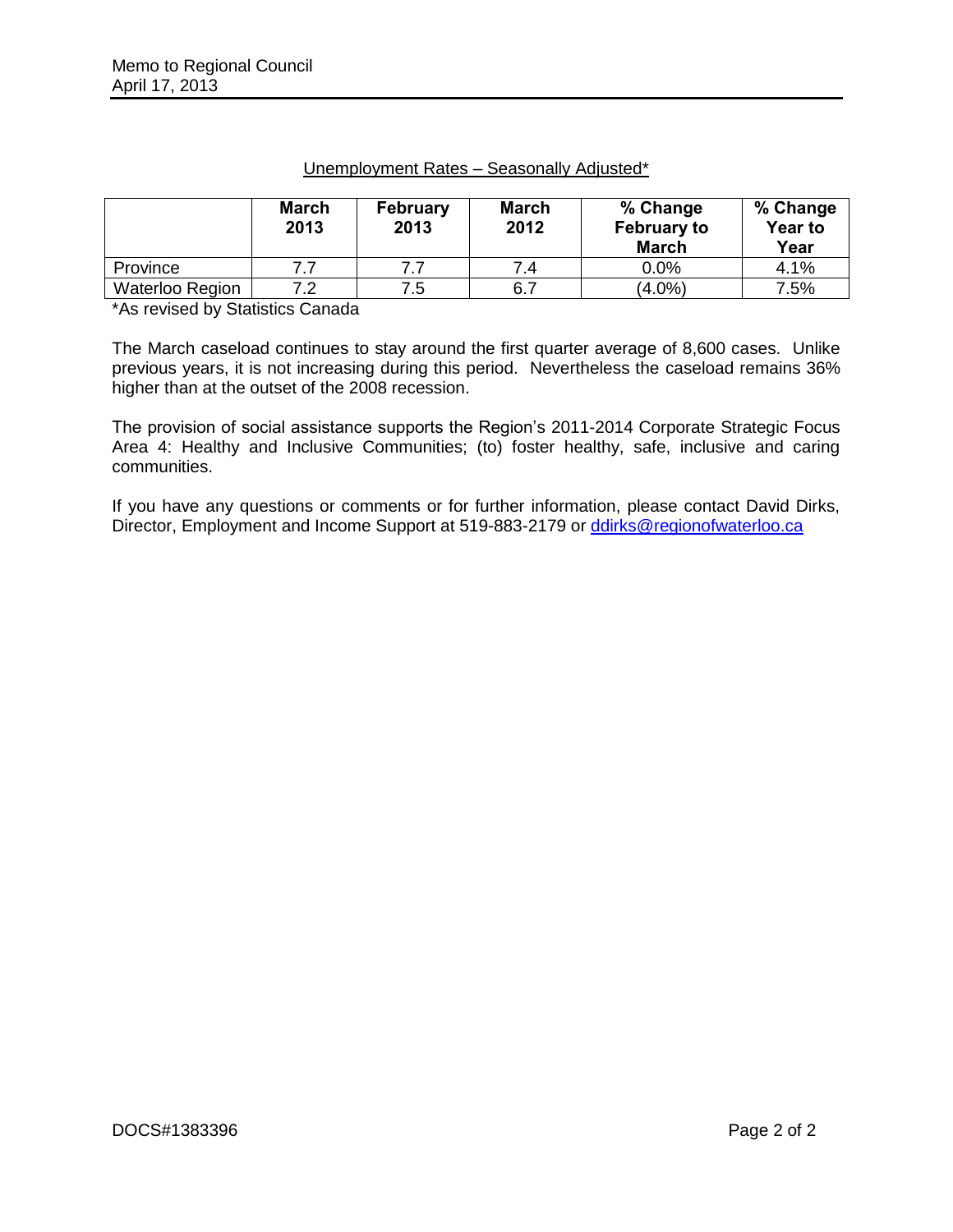|                        | <b>March</b><br>2013 | <b>February</b><br>2013 | <b>March</b><br>2012 | % Change<br><b>February to</b><br><b>March</b> | % Change<br><b>Year to</b><br>Year |
|------------------------|----------------------|-------------------------|----------------------|------------------------------------------------|------------------------------------|
| Province               | 7.7                  | 77                      | 7.4                  | $0.0\%$                                        | 4.1%                               |
| <b>Waterloo Region</b> | 7.2                  | 7.5                     | 6.7                  | $(4.0\%)$                                      | 7.5%                               |

#### Unemployment Rates – Seasonally Adjusted\*

\*As revised by Statistics Canada

The March caseload continues to stay around the first quarter average of 8,600 cases. Unlike previous years, it is not increasing during this period. Nevertheless the caseload remains 36% higher than at the outset of the 2008 recession.

The provision of social assistance supports the Region's 2011-2014 Corporate Strategic Focus Area 4: Healthy and Inclusive Communities; (to) foster healthy, safe, inclusive and caring communities.

If you have any questions or comments or for further information, please contact David Dirks, Director, Employment and Income Support at 519-883-2179 or [ddirks@regionofwaterloo.ca](mailto:ddirks@regionofwaterloo.ca)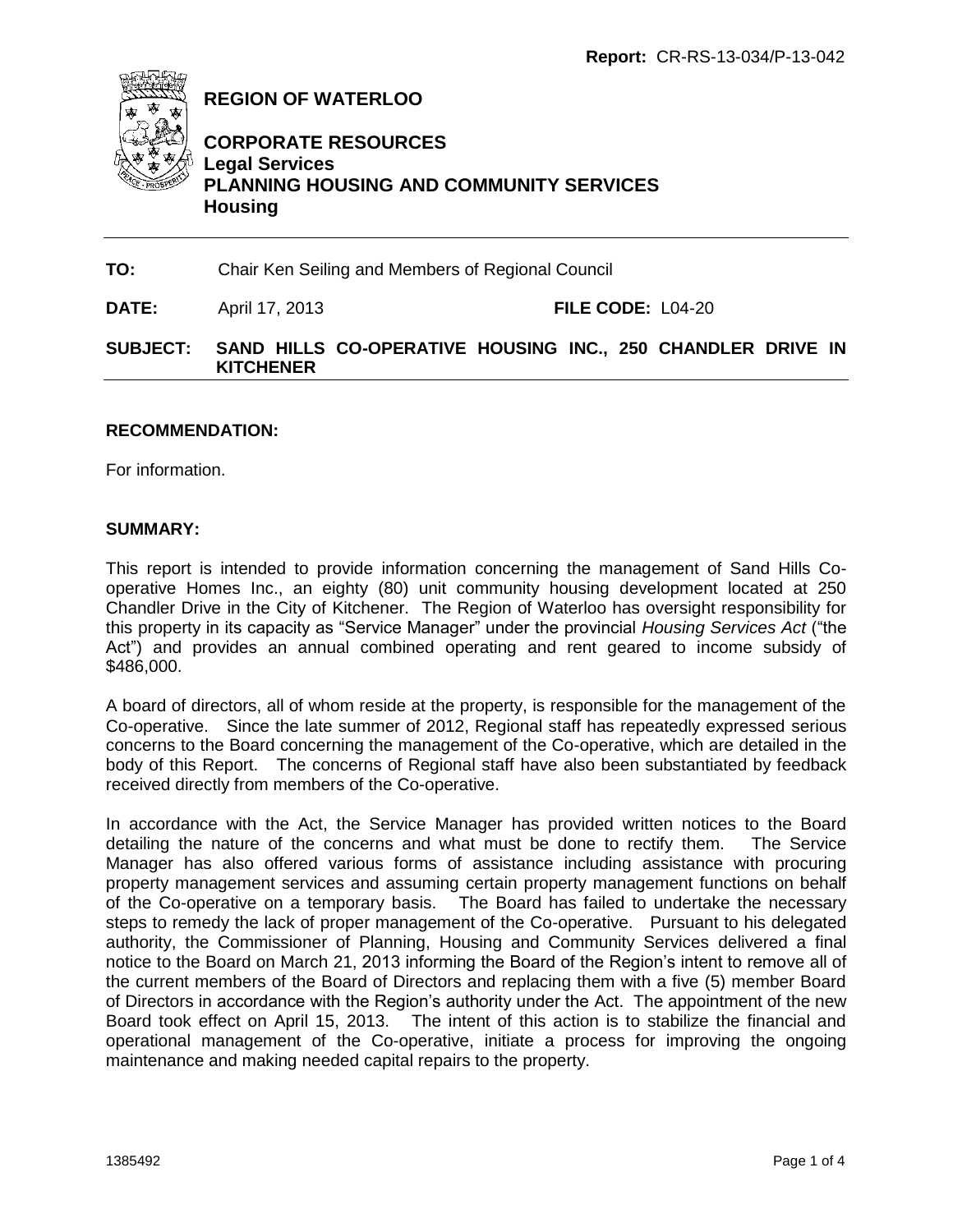<span id="page-19-0"></span>

**REGION OF WATERLOO**

## **CORPORATE RESOURCES Legal Services PLANNING HOUSING AND COMMUNITY SERVICES Housing**

**TO:** Chair Ken Seiling and Members of Regional Council

**DATE:** April 17, 2013 **FILE CODE:** L04-20

## **SUBJECT: SAND HILLS CO-OPERATIVE HOUSING INC., 250 CHANDLER DRIVE IN KITCHENER**

## **RECOMMENDATION:**

For information.

#### **SUMMARY:**

This report is intended to provide information concerning the management of Sand Hills Cooperative Homes Inc., an eighty (80) unit community housing development located at 250 Chandler Drive in the City of Kitchener. The Region of Waterloo has oversight responsibility for this property in its capacity as "Service Manager" under the provincial *Housing Services Act* ("the Act") and provides an annual combined operating and rent geared to income subsidy of \$486,000.

A board of directors, all of whom reside at the property, is responsible for the management of the Co-operative. Since the late summer of 2012, Regional staff has repeatedly expressed serious concerns to the Board concerning the management of the Co-operative, which are detailed in the body of this Report. The concerns of Regional staff have also been substantiated by feedback received directly from members of the Co-operative.

In accordance with the Act, the Service Manager has provided written notices to the Board detailing the nature of the concerns and what must be done to rectify them. The Service Manager has also offered various forms of assistance including assistance with procuring property management services and assuming certain property management functions on behalf of the Co-operative on a temporary basis. The Board has failed to undertake the necessary steps to remedy the lack of proper management of the Co-operative. Pursuant to his delegated authority, the Commissioner of Planning, Housing and Community Services delivered a final notice to the Board on March 21, 2013 informing the Board of the Region's intent to remove all of the current members of the Board of Directors and replacing them with a five (5) member Board of Directors in accordance with the Region's authority under the Act. The appointment of the new Board took effect on April 15, 2013. The intent of this action is to stabilize the financial and operational management of the Co-operative, initiate a process for improving the ongoing maintenance and making needed capital repairs to the property.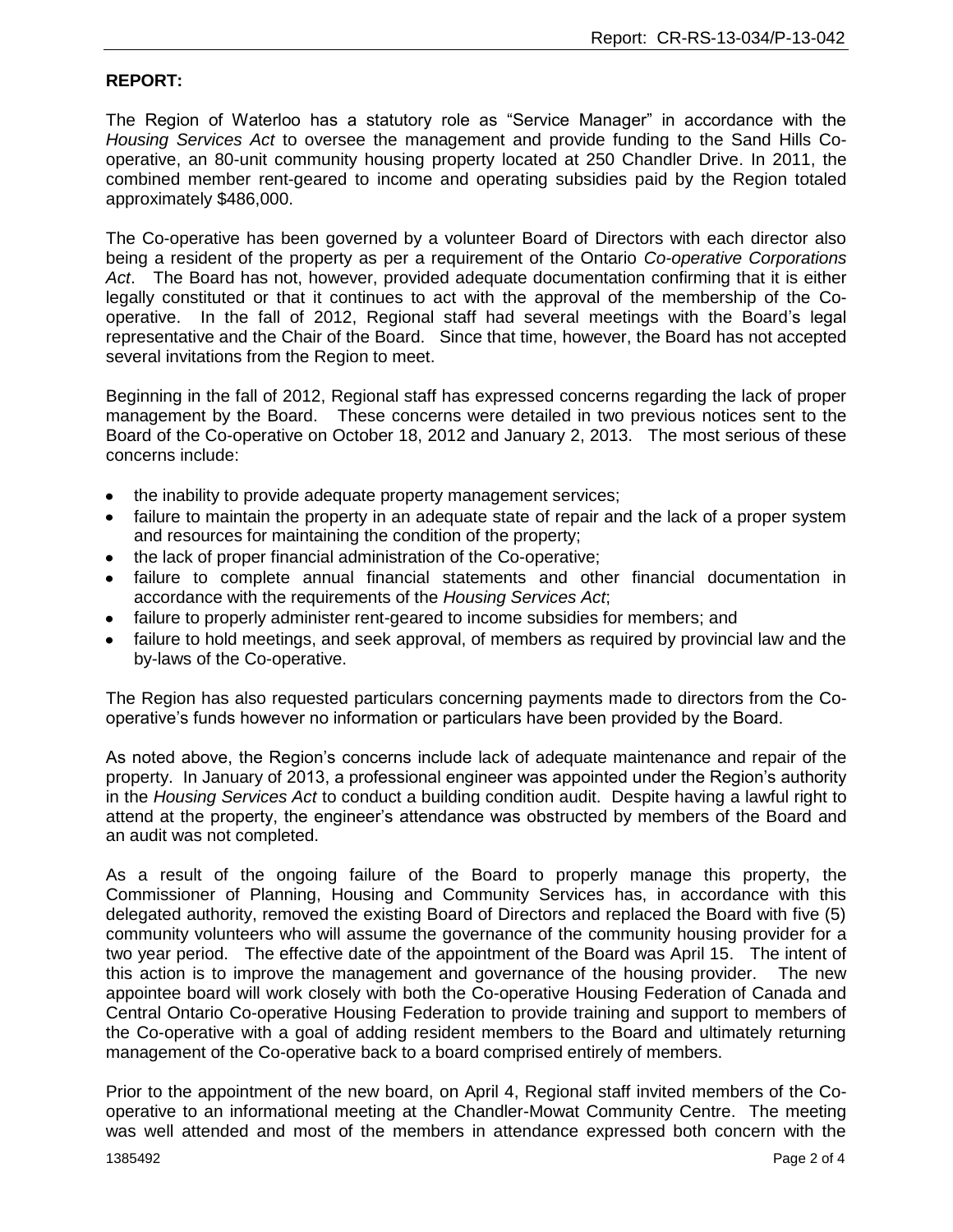#### **REPORT:**

The Region of Waterloo has a statutory role as "Service Manager" in accordance with the *Housing Services Act* to oversee the management and provide funding to the Sand Hills Cooperative, an 80-unit community housing property located at 250 Chandler Drive. In 2011, the combined member rent-geared to income and operating subsidies paid by the Region totaled approximately \$486,000.

The Co-operative has been governed by a volunteer Board of Directors with each director also being a resident of the property as per a requirement of the Ontario *Co-operative Corporations Act*. The Board has not, however, provided adequate documentation confirming that it is either legally constituted or that it continues to act with the approval of the membership of the Cooperative. In the fall of 2012, Regional staff had several meetings with the Board's legal representative and the Chair of the Board. Since that time, however, the Board has not accepted several invitations from the Region to meet.

Beginning in the fall of 2012, Regional staff has expressed concerns regarding the lack of proper management by the Board. These concerns were detailed in two previous notices sent to the Board of the Co-operative on October 18, 2012 and January 2, 2013. The most serious of these concerns include:

- the inability to provide adequate property management services;
- failure to maintain the property in an adequate state of repair and the lack of a proper system  $\bullet$ and resources for maintaining the condition of the property;
- the lack of proper financial administration of the Co-operative;
- failure to complete annual financial statements and other financial documentation in accordance with the requirements of the *Housing Services Act*;
- failure to properly administer rent-geared to income subsidies for members; and
- failure to hold meetings, and seek approval, of members as required by provincial law and the by-laws of the Co-operative.

The Region has also requested particulars concerning payments made to directors from the Cooperative's funds however no information or particulars have been provided by the Board.

As noted above, the Region's concerns include lack of adequate maintenance and repair of the property. In January of 2013, a professional engineer was appointed under the Region's authority in the *Housing Services Act* to conduct a building condition audit. Despite having a lawful right to attend at the property, the engineer's attendance was obstructed by members of the Board and an audit was not completed.

As a result of the ongoing failure of the Board to properly manage this property, the Commissioner of Planning, Housing and Community Services has, in accordance with this delegated authority, removed the existing Board of Directors and replaced the Board with five (5) community volunteers who will assume the governance of the community housing provider for a two year period. The effective date of the appointment of the Board was April 15. The intent of this action is to improve the management and governance of the housing provider. The new appointee board will work closely with both the Co-operative Housing Federation of Canada and Central Ontario Co-operative Housing Federation to provide training and support to members of the Co-operative with a goal of adding resident members to the Board and ultimately returning management of the Co-operative back to a board comprised entirely of members.

Prior to the appointment of the new board, on April 4, Regional staff invited members of the Cooperative to an informational meeting at the Chandler-Mowat Community Centre. The meeting was well attended and most of the members in attendance expressed both concern with the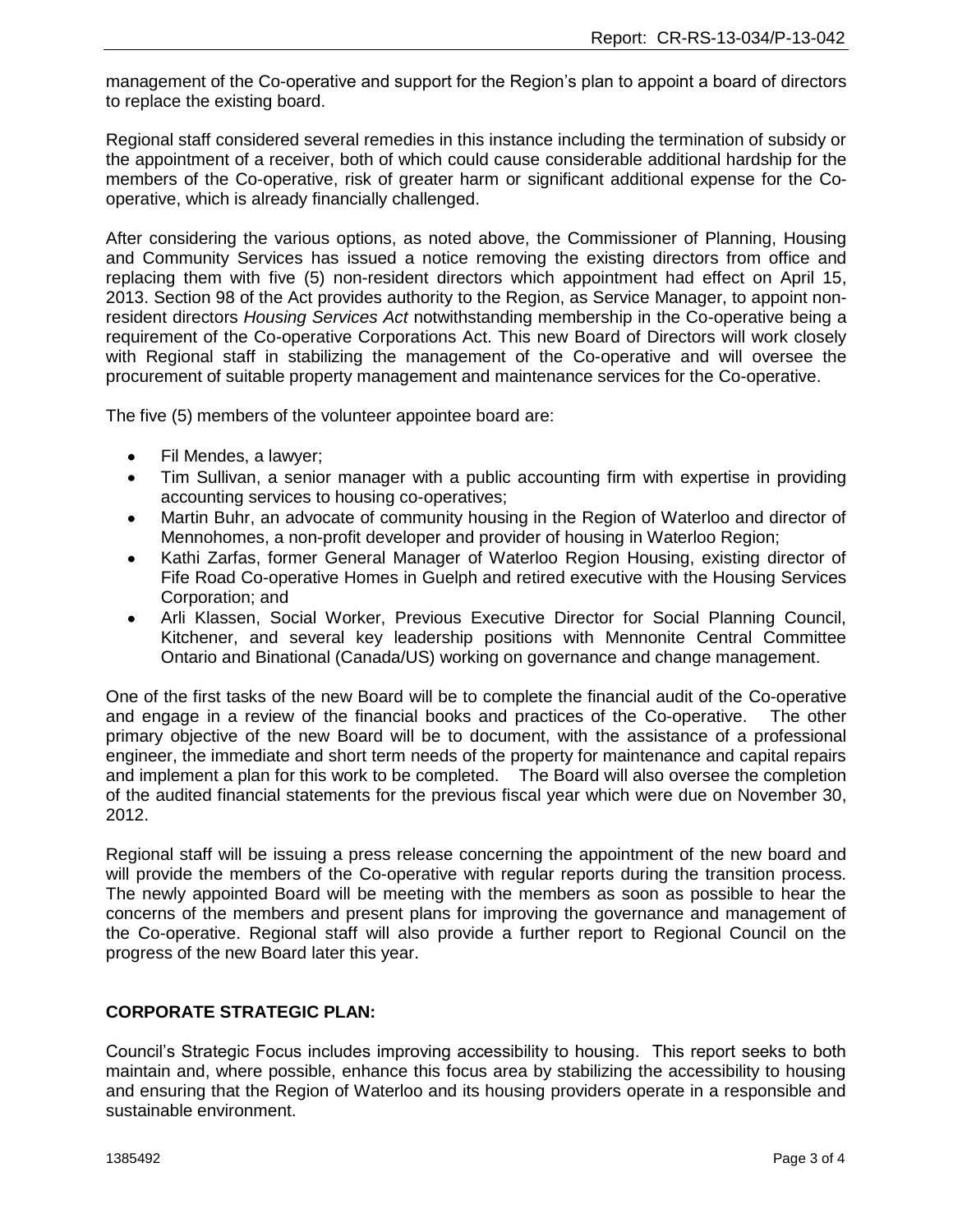management of the Co-operative and support for the Region's plan to appoint a board of directors to replace the existing board.

Regional staff considered several remedies in this instance including the termination of subsidy or the appointment of a receiver, both of which could cause considerable additional hardship for the members of the Co-operative, risk of greater harm or significant additional expense for the Cooperative, which is already financially challenged.

After considering the various options, as noted above, the Commissioner of Planning, Housing and Community Services has issued a notice removing the existing directors from office and replacing them with five (5) non-resident directors which appointment had effect on April 15, 2013. Section 98 of the Act provides authority to the Region, as Service Manager, to appoint nonresident directors *Housing Services Act* notwithstanding membership in the Co-operative being a requirement of the Co-operative Corporations Act. This new Board of Directors will work closely with Regional staff in stabilizing the management of the Co-operative and will oversee the procurement of suitable property management and maintenance services for the Co-operative.

The five (5) members of the volunteer appointee board are:

- Fil Mendes, a lawyer;  $\bullet$
- Tim Sullivan, a senior manager with a public accounting firm with expertise in providing accounting services to housing co-operatives;
- Martin Buhr, an advocate of community housing in the Region of Waterloo and director of Mennohomes, a non-profit developer and provider of housing in Waterloo Region;
- Kathi Zarfas, former General Manager of Waterloo Region Housing, existing director of Fife Road Co-operative Homes in Guelph and retired executive with the Housing Services Corporation; and
- Arli Klassen, Social Worker, Previous Executive Director for Social Planning Council, Kitchener, and several key leadership positions with Mennonite Central Committee Ontario and Binational (Canada/US) working on governance and change management.

One of the first tasks of the new Board will be to complete the financial audit of the Co-operative and engage in a review of the financial books and practices of the Co-operative. The other primary objective of the new Board will be to document, with the assistance of a professional engineer, the immediate and short term needs of the property for maintenance and capital repairs and implement a plan for this work to be completed. The Board will also oversee the completion of the audited financial statements for the previous fiscal year which were due on November 30, 2012.

Regional staff will be issuing a press release concerning the appointment of the new board and will provide the members of the Co-operative with regular reports during the transition process. The newly appointed Board will be meeting with the members as soon as possible to hear the concerns of the members and present plans for improving the governance and management of the Co-operative. Regional staff will also provide a further report to Regional Council on the progress of the new Board later this year.

## **CORPORATE STRATEGIC PLAN:**

Council's Strategic Focus includes improving accessibility to housing. This report seeks to both maintain and, where possible, enhance this focus area by stabilizing the accessibility to housing and ensuring that the Region of Waterloo and its housing providers operate in a responsible and sustainable environment.